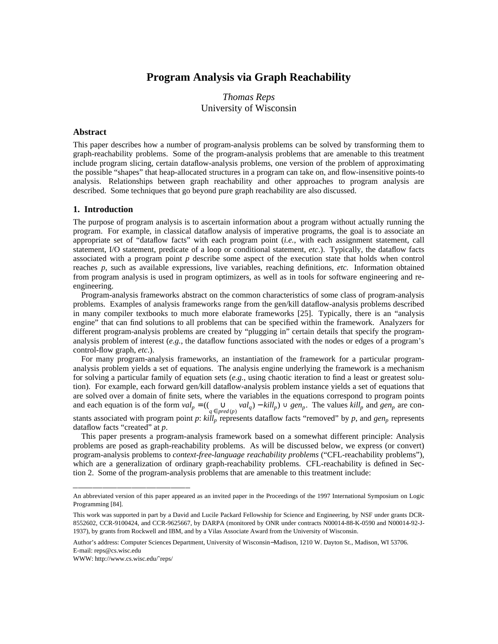# **Program Analysis via Graph Reachability**

*Thomas Reps* University of Wisconsin

### **Abstract**

This paper describes how a number of program-analysis problems can be solved by transforming them to graph-reachability problems. Some of the program-analysis problems that are amenable to this treatment include program slicing, certain dataflow-analysis problems, one version of the problem of approximating the possible "shapes" that heap-allocated structures in a program can take on, and flow-insensitive points-to analysis. Relationships between graph reachability and other approaches to program analysis are described. Some techniques that go beyond pure graph reachability are also discussed.

### **1. Introduction**

The purpose of program analysis is to ascertain information about a program without actually running the program. For example, in classical dataflow analysis of imperative programs, the goal is to associate an appropriate set of "dataflow facts" with each program point (*i.e.*, with each assignment statement, call statement, I/O statement, predicate of a loop or conditional statement, *etc*.). Typically, the dataflow facts associated with a program point *p* describe some aspect of the execution state that holds when control reaches *p*, such as available expressions, live variables, reaching definitions, *etc.* Information obtained from program analysis is used in program optimizers, as well as in tools for software engineering and reengineering.

Program-analysis frameworks abstract on the common characteristics of some class of program-analysis problems. Examples of analysis frameworks range from the gen/kill dataflow-analysis problems described in many compiler textbooks to much more elaborate frameworks [25]. Typically, there is an "analysis engine" that can find solutions to all problems that can be specified within the framework. Analyzers for different program-analysis problems are created by "plugging in" certain details that specify the programanalysis problem of interest (*e.g.*, the dataflow functions associated with the nodes or edges of a program's control-flow graph, *etc*.).

For many program-analysis frameworks, an instantiation of the framework for a particular programanalysis problem yields a set of equations. The analysis engine underlying the framework is a mechanism for solving a particular family of equation sets (*e.g.*, using chaotic iteration to find a least or greatest solution). For example, each forward gen/kill dataflow-analysis problem instance yields a set of equations that are solved over a domain of finite sets, where the variables in the equations correspond to program points and each equation is of the form  $val_p = ((\bigcup_{q \in pred(p)} val_q) - kill_p) \cup gen_p$ . The values  $kill_p$  and  $gen_p$  are constants associated with program point *p*: *kill<sup>p</sup>* represents dataflow facts "removed" by *p*, and *gen<sup>p</sup>* represents dataflow facts "created" at *p*.

This paper presents a program-analysis framework based on a somewhat different principle: Analysis problems are posed as graph-reachability problems. As will be discussed below, we express (or convert) program-analysis problems to *context-free-language reachability problems* ("CFL-reachability problems"), which are a generalization of ordinary graph-reachability problems. CFL-reachability is defined in Section 2. Some of the program-analysis problems that are amenable to this treatment include:

المساومات المساومات المساومات المساومات المساومات المساومات المساومات المساومات المساومات المساومات المساومات المساو

An abbreviated version of this paper appeared as an invited paper in the Proceedings of the 1997 International Symposium on Logic Programming [84].

This work was supported in part by a David and Lucile Packard Fellowship for Science and Engineering, by NSF under grants DCR-8552602, CCR-9100424, and CCR-9625667, by DARPA (monitored by ONR under contracts N00014-88-K-0590 and N00014-92-J-1937), by grants from Rockwell and IBM, and by a Vilas Associate Award from the University of Wisconsin.

Author's address: Computer Sciences Department, University of Wisconsin−Madison, 1210 W. Dayton St., Madison, WI 53706. E-mail: reps@cs.wisc.edu

WWW: http://www.cs.wisc.edu/˜reps/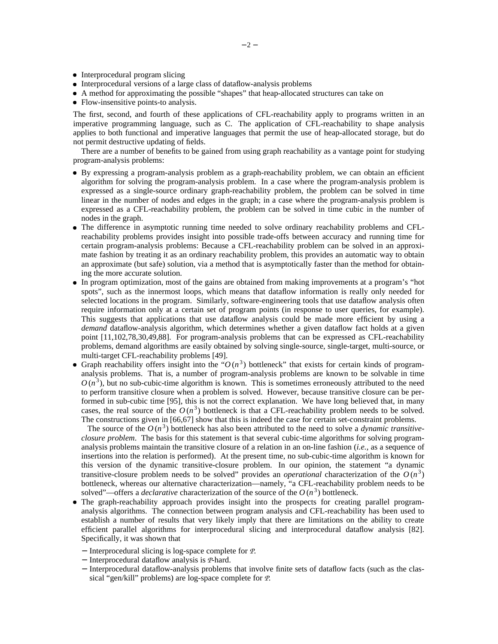- Interprocedural program slicing
- Interprocedural versions of a large class of dataflow-analysis problems
- A method for approximating the possible "shapes" that heap-allocated structures can take on
- Flow-insensitive points-to analysis.

The first, second, and fourth of these applications of CFL-reachability apply to programs written in an imperative programming language, such as C. The application of CFL-reachability to shape analysis applies to both functional and imperative languages that permit the use of heap-allocated storage, but do not permit destructive updating of fields.

There are a number of benefits to be gained from using graph reachability as a vantage point for studying program-analysis problems:

- By expressing a program-analysis problem as a graph-reachability problem, we can obtain an efficient algorithm for solving the program-analysis problem. In a case where the program-analysis problem is expressed as a single-source ordinary graph-reachability problem, the problem can be solved in time linear in the number of nodes and edges in the graph; in a case where the program-analysis problem is expressed as a CFL-reachability problem, the problem can be solved in time cubic in the number of nodes in the graph.
- The difference in asymptotic running time needed to solve ordinary reachability problems and CFLreachability problems provides insight into possible trade-offs between accuracy and running time for certain program-analysis problems: Because a CFL-reachability problem can be solved in an approximate fashion by treating it as an ordinary reachability problem, this provides an automatic way to obtain an approximate (but safe) solution, via a method that is asymptotically faster than the method for obtaining the more accurate solution.
- In program optimization, most of the gains are obtained from making improvements at a program's "hot spots", such as the innermost loops, which means that dataflow information is really only needed for selected locations in the program. Similarly, software-engineering tools that use dataflow analysis often require information only at a certain set of program points (in response to user queries, for example). This suggests that applications that use dataflow analysis could be made more efficient by using a *demand* dataflow-analysis algorithm, which determines whether a given dataflow fact holds at a given point [11,102,78,30,49,88]. For program-analysis problems that can be expressed as CFL-reachability problems, demand algorithms are easily obtained by solving single-source, single-target, multi-source, or multi-target CFL-reachability problems [49].
- Graph reachability offers insight into the " $O(n^3)$  bottleneck" that exists for certain kinds of programanalysis problems. That is, a number of program-analysis problems are known to be solvable in time  $O(n^3)$ , but no sub-cubic-time algorithm is known. This is sometimes erroneously attributed to the need to perform transitive closure when a problem is solved. However, because transitive closure can be performed in sub-cubic time [95], this is not the correct explanation. We have long believed that, in many cases, the real source of the  $O(n^3)$  bottleneck is that a CFL-reachability problem needs to be solved. The constructions given in [66,67] show that this is indeed the case for certain set-constraint problems.

The source of the  $O(n^3)$  bottleneck has also been attributed to the need to solve a *dynamic transitiveclosure problem*. The basis for this statement is that several cubic-time algorithms for solving programanalysis problems maintain the transitive closure of a relation in an on-line fashion (*i.e.*, as a sequence of insertions into the relation is performed). At the present time, no sub-cubic-time algorithm is known for this version of the dynamic transitive-closure problem. In our opinion, the statement "a dynamic transitive-closure problem needs to be solved" provides an *operational* characterization of the  $O(n^3)$ bottleneck, whereas our alternative characterization—namely, "a CFL-reachability problem needs to be solved"—offers a *declarative* characterization of the source of the  $O(n^3)$  bottleneck.

- The graph-reachability approach provides insight into the prospects for creating parallel programanalysis algorithms. The connection between program analysis and CFL-reachability has been used to establish a number of results that very likely imply that there are limitations on the ability to create efficient parallel algorithms for interprocedural slicing and interprocedural dataflow analysis [82]. Specifically, it was shown that
	- − Interprocedural slicing is log-space complete for *P*.
	- − Interprocedural dataflow analysis is *P*-hard.
	- − Interprocedural dataflow-analysis problems that involve finite sets of dataflow facts (such as the classical "gen/kill" problems) are log-space complete for *P*.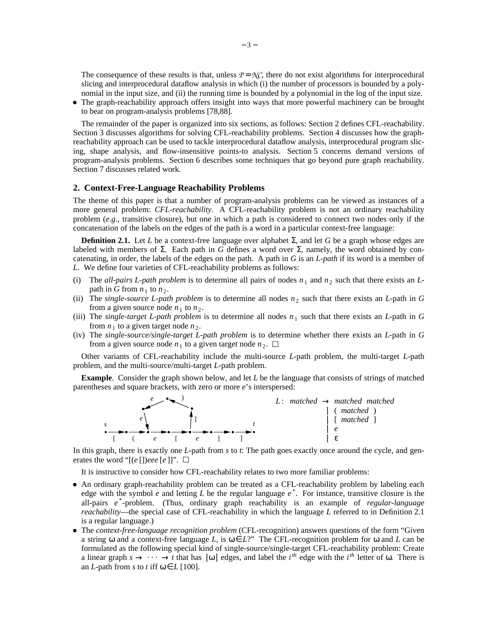The consequence of these results is that, unless  $P = \mathcal{N}C$ , there do not exist algorithms for interprocedural slicing and interprocedural dataflow analysis in which (i) the number of processors is bounded by a polynomial in the input size, and (ii) the running time is bounded by a polynomial in the log of the input size.

 The graph-reachability approach offers insight into ways that more powerful machinery can be brought to bear on program-analysis problems [78,88].

The remainder of the paper is organized into six sections, as follows: Section 2 defines CFL-reachability. Section 3 discusses algorithms for solving CFL-reachability problems. Section 4 discusses how the graphreachability approach can be used to tackle interprocedural dataflow analysis, interprocedural program slicing, shape analysis, and flow-insensitive points-to analysis. Section 5 concerns demand versions of program-analysis problems. Section 6 describes some techniques that go beyond pure graph reachability. Section 7 discusses related work.

## **2. Context-Free-Language Reachability Problems**

The theme of this paper is that a number of program-analysis problems can be viewed as instances of a more general problem: *CFL-reachability*. A CFL-reachability problem is not an ordinary reachability problem (*e.g.*, transitive closure), but one in which a path is considered to connect two nodes only if the concatenation of the labels on the edges of the path is a word in a particular context-free language:

**Definition 2.1.** Let *L* be a context-free language over alphabet  $Σ$ , and let *G* be a graph whose edges are labeled with members of Σ. Each path in *G* defines a word over Σ, namely, the word obtained by concatenating, in order, the labels of the edges on the path. A path in *G* is an *L-path* if its word is a member of *L*. We define four varieties of CFL-reachability problems as follows:

- (i) The *all-pairs L-path problem* is to determine all pairs of nodes  $n_1$  and  $n_2$  such that there exists an *L*path in *G* from  $n_1$  to  $n_2$ .
- (ii) The *single-source L-path problem* is to determine all nodes  $n_2$  such that there exists an *L*-path in *G* from a given source node  $n_1$  to  $n_2$ .
- (iii) The *single-target L-path problem* is to determine all nodes  $n_1$  such that there exists an *L*-path in *G* from  $n_1$  to a given target node  $n_2$ .
- (iv) The *single-source/single-target L-path problem* is to determine whether there exists an *L*-path in *G* from a given source node  $n_1$  to a given target node  $n_2$ .  $\Box$

Other variants of CFL-reachability include the multi-source *L*-path problem, the multi-target *L*-path problem, and the multi-source/multi-target *L*-path problem.

**Example**. Consider the graph shown below, and let *L* be the language that consists of strings of matched parentheses and square brackets, with zero or more *e*'s interspersed:



In this graph, there is exactly one *L*-path from *s* to *t*: The path goes exactly once around the cycle, and generates the word " $[(e \cap ee]e]$ ".  $\Box$ 

It is instructive to consider how CFL-reachability relates to two more familiar problems:

- An ordinary graph-reachability problem can be treated as a CFL-reachability problem by labeling each edge with the symbol *e* and letting *L* be the regular language *e \** . For instance, transitive closure is the all-pairs *e \** -problem. (Thus, ordinary graph reachability is an example of *regular-language reachability*—the special case of CFL-reachability in which the language *L* referred to in Definition 2.1 is a regular language.)
- The *context-free-language recognition problem* (CFL-recognition) answers questions of the form "Given a string  $\omega$  and a context-free language *L*, is  $\omega \in L$ ?" The CFL-recognition problem for  $\omega$  and *L* can be formulated as the following special kind of single-source/single-target CFL-reachability problem: Create a linear graph  $s \to \cdots \to t$  that has  $|\omega|$  edges, and label the *i*<sup>th</sup> edge with the *i*<sup>th</sup> letter of  $\omega$ . There is an *L*-path from *s* to *t* iff  $\omega \in L$  [100].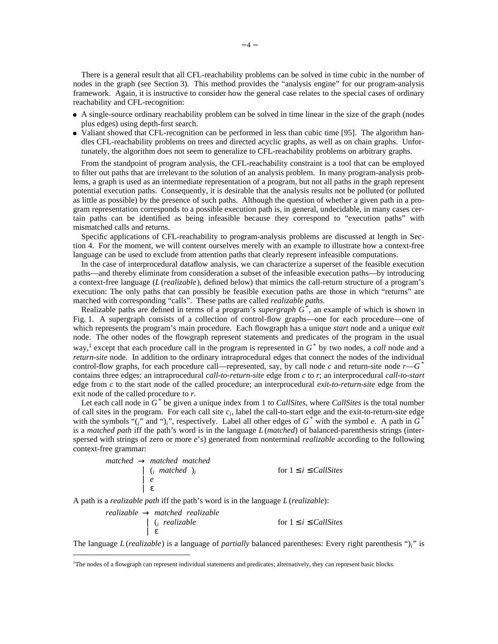There is a general result that all CFL-reachability problems can be solved in time cubic in the number of nodes in the graph (see Section 3). This method provides the "analysis engine" for our program-analysis framework. Again, it is instructive to consider how the general case relates to the special cases of ordinary reachability and CFL-recognition:

- A single-source ordinary reachability problem can be solved in time linear in the size of the graph (nodes plus edges) using depth-first search.
- Valiant showed that CFL-recognition can be performed in less than cubic time [95]. The algorithm handles CFL-reachability problems on trees and directed acyclic graphs, as well as on chain graphs. Unfortunately, the algorithm does not seem to generalize to CFL-reachability problems on arbitrary graphs.

From the standpoint of program analysis, the CFL-reachability constraint is a tool that can be employed to filter out paths that are irrelevant to the solution of an analysis problem. In many program-analysis problems, a graph is used as an intermediate representation of a program, but not all paths in the graph represent potential execution paths. Consequently, it is desirable that the analysis results not be polluted (or polluted as little as possible) by the presence of such paths. Although the question of whether a given path in a program representation corresponds to a possible execution path is, in general, undecidable, in many cases certain paths can be identified as being infeasible because they correspond to "execution paths" with mismatched calls and returns.

Specific applications of CFL-reachability to program-analysis problems are discussed at length in Section 4. For the moment, we will content ourselves merely with an example to illustrate how a context-free language can be used to exclude from attention paths that clearly represent infeasible computations.

In the case of interprocedural dataflow analysis, we can characterize a superset of the feasible execution paths—and thereby eliminate from consideration a subset of the infeasible execution paths—by introducing a context-free language (*L*(*realizable*), defined below) that mimics the call-return structure of a program's execution: The only paths that can possibly be feasible execution paths are those in which "returns" are matched with corresponding "calls". These paths are called *realizable paths*.

Realizable paths are defined in terms of a program's *supergraph*  $G^*$ , an example of which is shown in Fig. 1. A supergraph consists of a collection of control-flow graphs—one for each procedure—one of which represents the program's main procedure. Each flowgraph has a unique *start* node and a unique *exit* node. The other nodes of the flowgraph represent statements and predicates of the program in the usual way,<sup>1</sup> except that each procedure call in the program is represented in  $G^*$  by two nodes, a *call* node and a *return-site* node. In addition to the ordinary intraprocedural edges that connect the nodes of the individual control-flow graphs, for each procedure call—represented, say, by call node  $c$  and return-site node  $r - G^*$ contains three edges: an intraprocedural *call-to-return-site* edge from *c* to *r*; an interprocedural *call-to-start* edge from *c* to the start node of the called procedure; an interprocedural *exit-to-return-site* edge from the exit node of the called procedure to *r*.

Let each call node in *G \** be given a unique index from 1 to *CallSites*, where *CallSites* is the total number of call sites in the program. For each call site  $c_i$ , label the call-to-start edge and the exit-to-return-site edge with the symbols " $(i)$ " and " $(i)$ ", respectively. Label all other edges of  $G^*$  with the symbol *e*. A path in  $\tilde{G}^*$ is a *matched path* iff the path's word is in the language *L*(*matched*) of balanced-parenthesis strings (interspersed with strings of zero or more *e*'s) generated from nonterminal *realizable* according to the following context-free grammar:

*matched* → *matched matched* | (*<sup>i</sup> matched* )*<sup>i</sup>* for  $1 \leq i \leq$  *CallSites* | *e* | ε

A path is a *realizable path* iff the path's word is in the language *L*(*realizable*):

------------------

| realizable $\rightarrow$ matched realizable |                                |
|---------------------------------------------|--------------------------------|
| $\vert$ $\vert$ , realizable                | for $1 \leq i \leq$ Call Sites |
| $\mathsf{E}$                                |                                |

The language *L*(*realizable*) is a language of *partially* balanced parentheses: Every right parenthesis ")*i*" is

<sup>1</sup>The nodes of a flowgraph can represent individual statements and predicates; alternatively, they can represent basic blocks.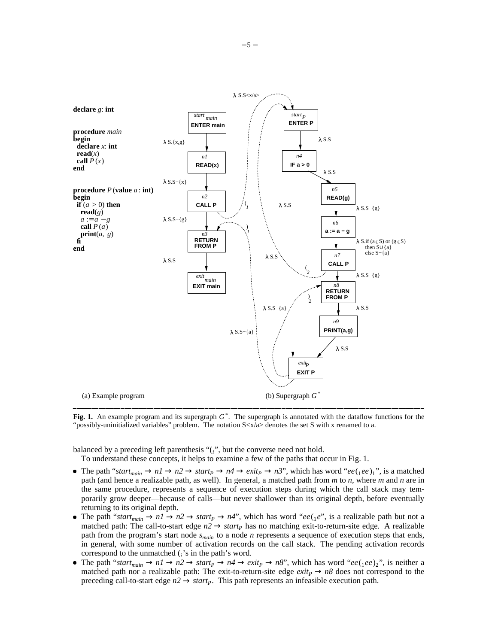

**Fig. 1.** An example program and its supergraph *G \** . The supergraph is annotated with the dataflow functions for the "possibly-uninitialized variables" problem. The notation  $S < x/a$  denotes the set S with x renamed to a.

balanced by a preceding left parenthesis "(*i*", but the converse need not hold.

To understand these concepts, it helps to examine a few of the paths that occur in Fig. 1.

- The path "*start<sub>main</sub>*  $\rightarrow$  *n1*  $\rightarrow$  *n2*  $\rightarrow$  *start<sub>P</sub>*  $\rightarrow$  *n4*  $\rightarrow$  *exit<sub>P</sub>*  $\rightarrow$  *n3*", which has word "*ee*(<sub>1</sub>*ee*)<sub>1</sub>", is a matched path (and hence a realizable path, as well). In general, a matched path from *m* to *n*, where *m* and *n* are in the same procedure, represents a sequence of execution steps during which the call stack may temporarily grow deeper—because of calls—but never shallower than its original depth, before eventually returning to its original depth.
- The path "*start<sub>main</sub>*  $\rightarrow$  *n1*  $\rightarrow$  *n2*  $\rightarrow$  *start<sub>P</sub>*  $\rightarrow$  *n4*", which has word "*ee*(<sub>1</sub>*e*", is a realizable path but not a matched path: The call-to-start edge  $n2 \rightarrow start_P$  has no matching exit-to-return-site edge. A realizable path from the program's start node *smain* to a node *n* represents a sequence of execution steps that ends, in general, with some number of activation records on the call stack. The pending activation records correspond to the unmatched (*<sup>i</sup>* 's in the path's word.
- The path "*start<sub>main</sub>*  $\rightarrow$  *n1*  $\rightarrow$  *n2*  $\rightarrow$  *start<sub>P</sub>*  $\rightarrow$  *n4*  $\rightarrow$  *exit<sub>P</sub>*  $\rightarrow$  *n8*", which has word "*ee*(<sub>1</sub>*ee*)<sub>2</sub>", is neither a matched path nor a realizable path: The exit-to-return-site edge  $exit_P \rightarrow n8$  does not correspond to the preceding call-to-start edge  $n^2 \rightarrow start_P$ . This path represents an infeasible execution path.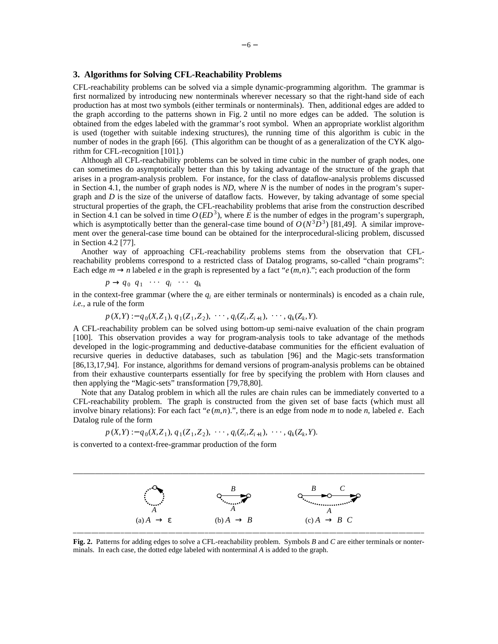### **3. Algorithms for Solving CFL-Reachability Problems**

CFL-reachability problems can be solved via a simple dynamic-programming algorithm. The grammar is first normalized by introducing new nonterminals wherever necessary so that the right-hand side of each production has at most two symbols (either terminals or nonterminals). Then, additional edges are added to the graph according to the patterns shown in Fig. 2 until no more edges can be added. The solution is obtained from the edges labeled with the grammar's root symbol. When an appropriate worklist algorithm is used (together with suitable indexing structures), the running time of this algorithm is cubic in the number of nodes in the graph [66]. (This algorithm can be thought of as a generalization of the CYK algorithm for CFL-recognition [101].)

Although all CFL-reachability problems can be solved in time cubic in the number of graph nodes, one can sometimes do asymptotically better than this by taking advantage of the structure of the graph that arises in a program-analysis problem. For instance, for the class of dataflow-analysis problems discussed in Section 4.1, the number of graph nodes is *ND*, where *N* is the number of nodes in the program's supergraph and *D* is the size of the universe of dataflow facts. However, by taking advantage of some special structural properties of the graph, the CFL-reachability problems that arise from the construction described in Section 4.1 can be solved in time  $O(ED^3)$ , where *E* is the number of edges in the program's supergraph, which is asymptotically better than the general-case time bound of  $O(N^3D^3)$  [81,49]. A similar improvement over the general-case time bound can be obtained for the interprocedural-slicing problem, discussed in Section 4.2 [77].

Another way of approaching CFL-reachability problems stems from the observation that CFLreachability problems correspond to a restricted class of Datalog programs, so-called "chain programs": Each edge  $m \rightarrow n$  labeled *e* in the graph is represented by a fact "*e* (*m,n*)."; each production of the form

$$
p \rightarrow q_0 \ q_1 \ \cdots \ q_i \ \cdots \ q_k
$$

in the context-free grammar (where the  $q_i$  are either terminals or nonterminals) is encoded as a chain rule, *i.e.*, a rule of the form

$$
p(X,Y) := q_0(X,Z_1), q_1(Z_1,Z_2), \cdots, q_i(Z_i,Z_{i+1}), \cdots, q_k(Z_k,Y).
$$

A CFL-reachability problem can be solved using bottom-up semi-naive evaluation of the chain program [100]. This observation provides a way for program-analysis tools to take advantage of the methods developed in the logic-programming and deductive-database communities for the efficient evaluation of recursive queries in deductive databases, such as tabulation [96] and the Magic-sets transformation [86,13,17,94]. For instance, algorithms for demand versions of program-analysis problems can be obtained from their exhaustive counterparts essentially for free by specifying the problem with Horn clauses and then applying the "Magic-sets" transformation [79,78,80].

Note that any Datalog problem in which all the rules are chain rules can be immediately converted to a CFL-reachability problem. The graph is constructed from the given set of base facts (which must all involve binary relations): For each fact "*e* (*m*,*n*).", there is an edge from node *m* to node *n*, labeled *e*. Each Datalog rule of the form

$$
p(X,Y) := q_0(X,Z_1), q_1(Z_1,Z_2), \cdots, q_i(Z_i,Z_{i+1}), \cdots, q_k(Z_k,Y).
$$

is converted to a context-free-grammar production of the form

----



**Fig. 2.** Patterns for adding edges to solve a CFL-reachability problem. Symbols *B* and *C* are either terminals or nonterminals. In each case, the dotted edge labeled with nonterminal *A* is added to the graph.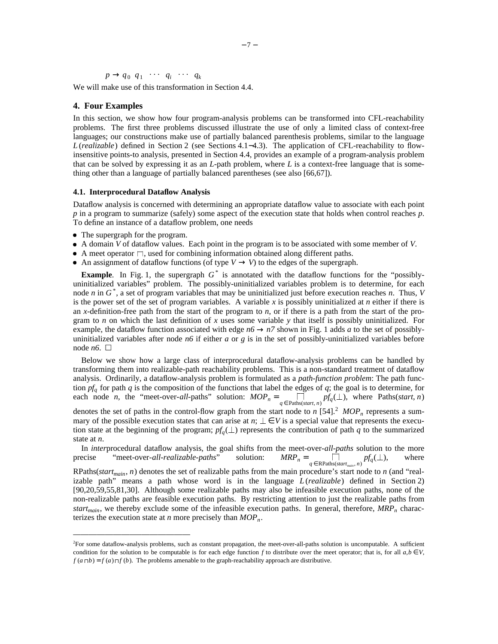$p \rightarrow q_0 \ q_1 \cdots q_i \cdots q_k$ 

We will make use of this transformation in Section 4.4.

### **4. Four Examples**

In this section, we show how four program-analysis problems can be transformed into CFL-reachability problems. The first three problems discussed illustrate the use of only a limited class of context-free languages; our constructions make use of partially balanced parenthesis problems, similar to the language *L*(*realizable*) defined in Section 2 (see Sections 4.1−4.3). The application of CFL-reachability to flowinsensitive points-to analysis, presented in Section 4.4, provides an example of a program-analysis problem that can be solved by expressing it as an *L*-path problem, where *L* is a context-free language that is something other than a language of partially balanced parentheses (see also [66,67]).

### **4.1. Interprocedural Dataflow Analysis**

Dataflow analysis is concerned with determining an appropriate dataflow value to associate with each point *p* in a program to summarize (safely) some aspect of the execution state that holds when control reaches *p*. To define an instance of a dataflow problem, one needs

The supergraph for the program.

------------------

- A domain *V* of dataflow values. Each point in the program is to be associated with some member of *V*.
- $\bullet$  A meet operator  $\sqcap$ , used for combining information obtained along different paths.
- An assignment of dataflow functions (of type  $V \rightarrow V$ ) to the edges of the supergraph.

**Example**. In Fig. 1, the supergraph  $G^*$  is annotated with the dataflow functions for the "possiblyuninitialized variables" problem. The possibly-uninitialized variables problem is to determine, for each node *n* in *G \** , a set of program variables that may be uninitialized just before execution reaches *n*. Thus, *V* is the power set of the set of program variables. A variable *x* is possibly uninitialized at *n* either if there is an *x*-definition-free path from the start of the program to *n*, or if there is a path from the start of the program to *n* on which the last definition of *x* uses some variable *y* that itself is possibly uninitialized. For example, the dataflow function associated with edge  $n6 \rightarrow n7$  shown in Fig. 1 adds *a* to the set of possiblyuninitialized variables after node *n6* if either *a* or *g* is in the set of possibly-uninitialized variables before node  $n6$ .  $\Box$ 

Below we show how a large class of interprocedural dataflow-analysis problems can be handled by transforming them into realizable-path reachability problems. This is a non-standard treatment of dataflow analysis. Ordinarily, a dataflow-analysis problem is formulated as a *path-function problem*: The path function *pf<sup>q</sup>* for path *q* is the composition of the functions that label the edges of *q*; the goal is to determine, for each node *n*, the "meet-over-*all*-paths" solution:  $MOP_n = \bigcap_{q \in \text{Paths}(\text{start}, n)} p f_q(\perp)$ , where Paths(*start*, *n*)

denotes the set of paths in the control-flow graph from the start node to  $n$  [54].<sup>2</sup> *MOP<sub>n</sub>* represents a summary of the possible execution states that can arise at *n*;  $\perp \in V$  is a special value that represents the execution state at the beginning of the program;  $pf_q(\perp)$  represents the contribution of path *q* to the summarized state at *n*.

In *inter*procedural dataflow analysis, the goal shifts from the meet-over-*all-paths* solution to the more precise "meet-over-*all-realizable-paths*" solution: *q* ∈ RPaths(*start<sub>main</sub>*, *n*)  $pf_q$ where RPaths(*startmain*, *n*) denotes the set of realizable paths from the main procedure's start node to *n* (and "realizable path" means a path whose word is in the language *L*(*realizable*) defined in Section 2) [90,20,59,55,81,30]. Although some realizable paths may also be infeasible execution paths, none of the non-realizable paths are feasible execution paths. By restricting attention to just the realizable paths from *startmain*, we thereby exclude some of the infeasible execution paths. In general, therefore, *MRP<sup>n</sup>* characterizes the execution state at *n* more precisely than *MOP<sup>n</sup>* .

and the contract of the contract of the contract of the contract of the contract of the contract of the contract of the contract of the contract of the contract of the contract of the contract of the contract of the contra

<sup>2</sup>For some dataflow-analysis problems, such as constant propagation, the meet-over-all-paths solution is uncomputable. A sufficient condition for the solution to be computable is for each edge function *f* to distribute over the meet operator; that is, for all  $a, b \in V$ ,  $f(a \sqcap b) = f(a) \sqcap f(b)$ . The problems amenable to the graph-reachability approach are distributive.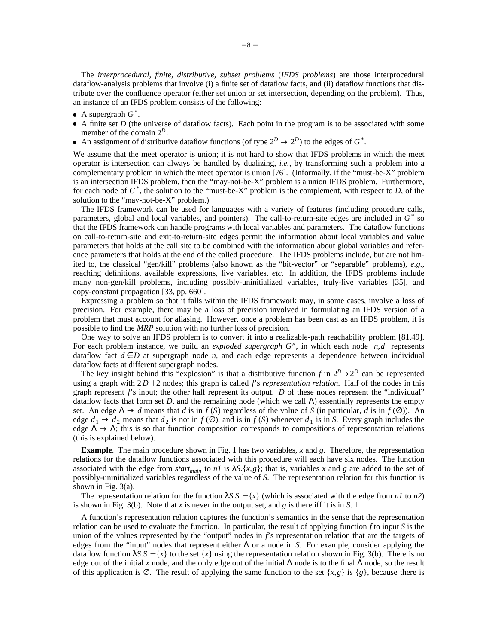The *interprocedural, finite, distributive, subset problems* (*IFDS problems*) are those interprocedural dataflow-analysis problems that involve (i) a finite set of dataflow facts, and (ii) dataflow functions that distribute over the confluence operator (either set union or set intersection, depending on the problem). Thus, an instance of an IFDS problem consists of the following:

• A supergraph  $G^*$ .

- $\bullet$  A finite set *D* (the universe of dataflow facts). Each point in the program is to be associated with some member of the domain  $2^D$ .
- An assignment of distributive dataflow functions (of type  $2^D \rightarrow 2^D$ ) to the edges of  $G^*$ .

We assume that the meet operator is union; it is not hard to show that IFDS problems in which the meet operator is intersection can always be handled by dualizing, *i.e.*, by transforming such a problem into a complementary problem in which the meet operator is union [76]. (Informally, if the "must-be-X" problem is an intersection IFDS problem, then the "may-not-be-X" problem is a union IFDS problem. Furthermore, for each node of *G \** , the solution to the "must-be-X" problem is the complement, with respect to *D*, of the solution to the "may-not-be-X" problem.)

The IFDS framework can be used for languages with a variety of features (including procedure calls, parameters, global and local variables, and pointers). The call-to-return-site edges are included in  $G^*$  so that the IFDS framework can handle programs with local variables and parameters. The dataflow functions on call-to-return-site and exit-to-return-site edges permit the information about local variables and value parameters that holds at the call site to be combined with the information about global variables and reference parameters that holds at the end of the called procedure. The IFDS problems include, but are not limited to, the classical "gen/kill" problems (also known as the "bit-vector" or "separable" problems), *e.g.*, reaching definitions, available expressions, live variables, *etc.* In addition, the IFDS problems include many non-gen/kill problems, including possibly-uninitialized variables, truly-live variables [35], and copy-constant propagation [33, pp. 660].

Expressing a problem so that it falls within the IFDS framework may, in some cases, involve a loss of precision. For example, there may be a loss of precision involved in formulating an IFDS version of a problem that must account for aliasing. However, once a problem has been cast as an IFDS problem, it is possible to find the *MRP* solution with no further loss of precision.

One way to solve an IFDS problem is to convert it into a realizable-path reachability problem [81,49]. For each problem instance, we build an *exploded supergraph*  $G^{\#}$ , in which each node  $\langle n,d \rangle$  represents dataflow fact  $d \in D$  at supergraph node *n*, and each edge represents a dependence between individual dataflow facts at different supergraph nodes.

The key insight behind this "explosion" is that a distributive function *f* in  $2^D \rightarrow 2^D$  can be represented using a graph with  $2D + 2$  nodes; this graph is called *f*'s *representation relation*. Half of the nodes in this graph represent *f*'s input; the other half represent its output. *D* of these nodes represent the "individual" dataflow facts that form set *D*, and the remaining node (which we call  $\Lambda$ ) essentially represents the empty set. An edge  $\Lambda \to d$  means that *d* is in *f* (*S*) regardless of the value of *S* (in particular, *d* is in *f* (∅)). An edge  $d_1 \rightarrow d_2$  means that  $d_2$  is not in  $f(\emptyset)$ , and is in  $f(S)$  whenever  $d_1$  is in *S*. Every graph includes the edge  $\Lambda \to \Lambda$ ; this is so that function composition corresponds to compositions of representation relations (this is explained below).

**Example**. The main procedure shown in Fig. 1 has two variables, *x* and *g*. Therefore, the representation relations for the dataflow functions associated with this procedure will each have six nodes. The function associated with the edge from *start<sub>main</sub>* to *n1* is  $\lambda S.$  { $x, g$ }; that is, variables *x* and *g* are added to the set of possibly-uninitialized variables regardless of the value of *S*. The representation relation for this function is shown in Fig. 3(a).

The representation relation for the function  $\lambda S.S - \{x\}$  (which is associated with the edge from *n1* to *n2*) is shown in Fig. 3(b). Note that *x* is never in the output set, and *g* is there iff it is in *S*.  $\Box$ 

A function's representation relation captures the function's semantics in the sense that the representation relation can be used to evaluate the function. In particular, the result of applying function *f* to input *S* is the union of the values represented by the "output" nodes in *f*'s representation relation that are the targets of edges from the "input" nodes that represent either Λ or a node in *S*. For example, consider applying the dataflow function  $\lambda S.S - \{x\}$  to the set  $\{x\}$  using the representation relation shown in Fig. 3(b). There is no edge out of the initial *x* node, and the only edge out of the initial Λ node is to the final Λ node, so the result of this application is  $\emptyset$ . The result of applying the same function to the set  $\{x,g\}$  is  $\{g\}$ , because there is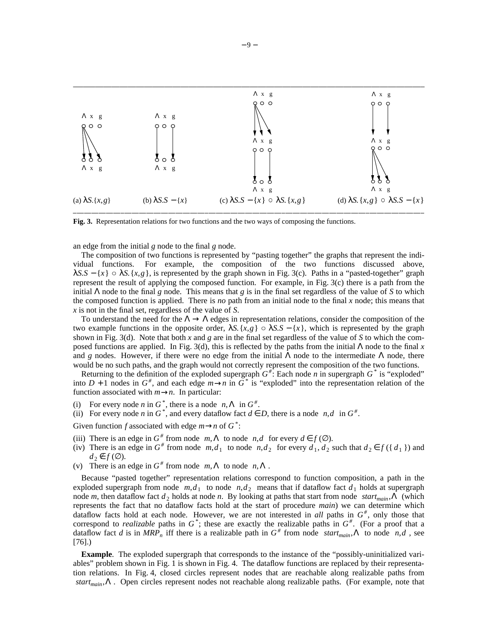

**Fig. 3.** Representation relations for two functions and the two ways of composing the functions.

an edge from the initial *g* node to the final *g* node.

The composition of two functions is represented by "pasting together" the graphs that represent the individual functions. For example, the composition of the two functions discussed above,  $\lambda$ *S.S* − {*x*}  $\circ \lambda$ *S.* {*x,g*}, is represented by the graph shown in Fig. 3(c). Paths in a "pasted-together" graph represent the result of applying the composed function. For example, in Fig. 3(c) there is a path from the initial Λ node to the final *g* node. This means that *g* is in the final set regardless of the value of *S* to which the composed function is applied. There is *no* path from an initial node to the final *x* node; this means that *x* is not in the final set, regardless of the value of *S*.

To understand the need for the  $\Lambda \to \Lambda$  edges in representation relations, consider the composition of the two example functions in the opposite order,  $\lambda S.$  {*x*,*g*}  $\circ \lambda S. S - \{x\}$ , which is represented by the graph shown in Fig. 3(d). Note that both *x* and *g* are in the final set regardless of the value of *S* to which the composed functions are applied. In Fig. 3(d), this is reflected by the paths from the initial Λ node to the final *x* and *g* nodes. However, if there were no edge from the initial  $\Lambda$  node to the intermediate  $\Lambda$  node, there would be no such paths, and the graph would not correctly represent the composition of the two functions.

Returning to the definition of the exploded supergraph  $G^*$ . Each node *n* in supergraph  $G^*$  is "exploded" into  $D + 1$  nodes in  $G^*$ , and each edge  $m \rightarrow n$  in  $G^*$  is "exploded" into the representation relation of the function associated with  $m \rightarrow n$ . In particular:

- (i) For every node *n* in  $G^*$ , there is a node  $\langle n, \Lambda \rangle$  in  $G^*$ .
- (ii) For every node *n* in  $G^*$ , and every dataflow fact  $d \in D$ , there is a node  $\langle n, d \rangle$  in  $G^*$ .

Given function *f* associated with edge  $m \rightarrow n$  of  $G^*$ :

- (iii) There is an edge in  $G^*$  from node  $\langle m, \Lambda \rangle$  to node  $\langle n, d \rangle$  for every  $d \in f(\emptyset)$ .
- (iv) There is an edge in  $G^*$  from node  $\langle m, d_1 \rangle$  to node  $\langle n, d_2 \rangle$  for every  $d_1, d_2$  such that  $d_2 \in f(\lbrace d_1 \rbrace)$  and  $d_2 \notin f(\emptyset)$ .
- (v) There is an edge in  $G^{\#}$  from node  $\langle m, \Lambda \rangle$  to node  $\langle n, \Lambda \rangle$ .

Because "pasted together" representation relations correspond to function composition, a path in the exploded supergraph from node  $\langle m, d_1 \rangle$  to node  $\langle n, d_2 \rangle$  means that if dataflow fact  $d_1$  holds at supergraph node *m*, then dataflow fact  $d_2$  holds at node *n*. By looking at paths that start from node  $\langle start_{main}, \Lambda \rangle$  (which represents the fact that no dataflow facts hold at the start of procedure *main*) we can determine which dataflow facts hold at each node. However, we are not interested in *all* paths in  $G^{\#}$ , only those that correspond to *realizable* paths in  $G^*$ ; these are exactly the realizable paths in  $G^*$ . (For a proof that a dataflow fact *d* is in  $MRP_n$  iff there is a realizable path in  $G^{\#}$  from node  $\langle start_{main}, \Lambda \rangle$  to node  $\langle n, d \rangle$ , see [76].)

**Example**. The exploded supergraph that corresponds to the instance of the "possibly-uninitialized variables" problem shown in Fig. 1 is shown in Fig. 4. The dataflow functions are replaced by their representation relations. In Fig. 4, closed circles represent nodes that are reachable along realizable paths from 〈*startmain*,Λ〉. Open circles represent nodes not reachable along realizable paths. (For example, note that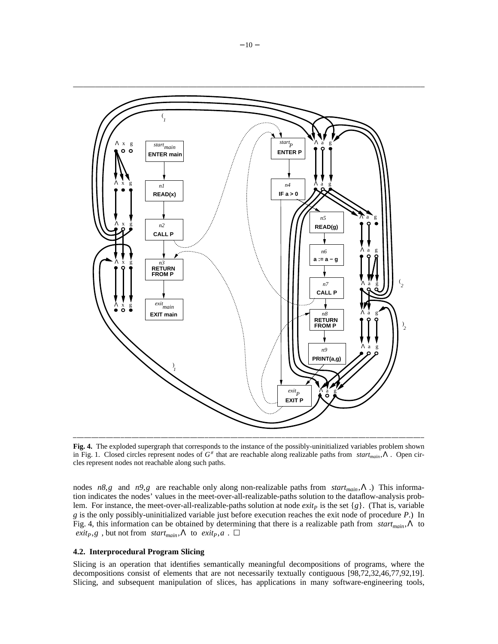

**Fig. 4.** The exploded supergraph that corresponds to the instance of the possibly-uninitialized variables problem shown in Fig. 1. Closed circles represent nodes of *G #* that are reachable along realizable paths from 〈*startmain*,Λ〉. Open circles represent nodes not reachable along such paths.

nodes 〈*n8*,*g*〉 and 〈*n9*,*g*〉 are reachable only along non-realizable paths from 〈*startmain*,Λ〉.) This information indicates the nodes' values in the meet-over-all-realizable-paths solution to the dataflow-analysis problem. For instance, the meet-over-all-realizable-paths solution at node  $exit<sub>P</sub>$  is the set {*g*}. (That is, variable *g* is the only possibly-uninitialized variable just before execution reaches the exit node of procedure *P*.) In Fig. 4, this information can be obtained by determining that there is a realizable path from 〈*startmain*,Λ〉 to  $\langle \text{exit}_P, g \rangle$ , but not from  $\langle \text{start}_{main}, \Lambda \rangle$  to  $\langle \text{exit}_P, a \rangle$ .

### **4.2. Interprocedural Program Slicing**

Slicing is an operation that identifies semantically meaningful decompositions of programs, where the decompositions consist of elements that are not necessarily textually contiguous [98,72,32,46,77,92,19]. Slicing, and subsequent manipulation of slices, has applications in many software-engineering tools,

and the contract of the contract of the contract of the contract of the contract of the contract of the contract of the contract of the contract of the contract of the contract of the contract of the contract of the contra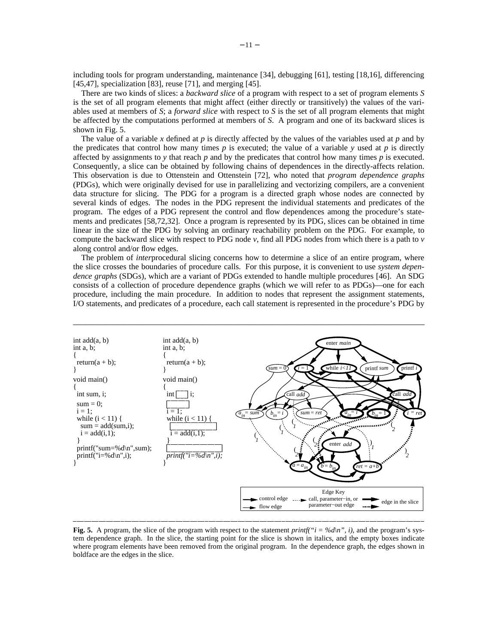including tools for program understanding, maintenance [34], debugging [61], testing [18,16], differencing [45,47], specialization [83], reuse [71], and merging [45].

There are two kinds of slices: a *backward slice* of a program with respect to a set of program elements *S* is the set of all program elements that might affect (either directly or transitively) the values of the variables used at members of *S*; a *forward slice* with respect to *S* is the set of all program elements that might be affected by the computations performed at members of *S*. A program and one of its backward slices is shown in Fig. 5.

The value of a variable *x* defined at *p* is directly affected by the values of the variables used at *p* and by the predicates that control how many times  $p$  is executed; the value of a variable  $y$  used at  $p$  is directly affected by assignments to *y* that reach *p* and by the predicates that control how many times *p* is executed. Consequently, a slice can be obtained by following chains of dependences in the directly-affects relation. This observation is due to Ottenstein and Ottenstein [72], who noted that *program dependence graphs* (PDGs), which were originally devised for use in parallelizing and vectorizing compilers, are a convenient data structure for slicing. The PDG for a program is a directed graph whose nodes are connected by several kinds of edges. The nodes in the PDG represent the individual statements and predicates of the program. The edges of a PDG represent the control and flow dependences among the procedure's statements and predicates [58,72,32]. Once a program is represented by its PDG, slices can be obtained in time linear in the size of the PDG by solving an ordinary reachability problem on the PDG. For example, to compute the backward slice with respect to PDG node *v*, find all PDG nodes from which there is a path to *v* along control and/or flow edges.

The problem of *inter*procedural slicing concerns how to determine a slice of an entire program, where the slice crosses the boundaries of procedure calls. For this purpose, it is convenient to use *system dependence graphs* (SDGs), which are a variant of PDGs extended to handle multiple procedures [46]. An SDG consists of a collection of procedure dependence graphs (which we will refer to as PDGs)—one for each procedure, including the main procedure. In addition to nodes that represent the assignment statements, I/O statements, and predicates of a procedure, each call statement is represented in the procedure's PDG by



**Fig.** 5. A program, the slice of the program with respect to the statement *printf("i* =  $\%d\langle n, i \rangle$ , and the program's system dependence graph. In the slice, the starting point for the slice is shown in italics, and the empty boxes indicate where program elements have been removed from the original program. In the dependence graph, the edges shown in boldface are the edges in the slice.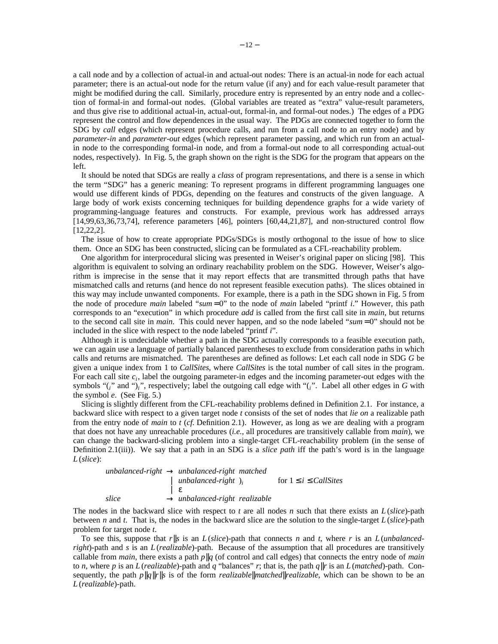a call node and by a collection of actual-in and actual-out nodes: There is an actual-in node for each actual parameter; there is an actual-out node for the return value (if any) and for each value-result parameter that might be modified during the call. Similarly, procedure entry is represented by an entry node and a collection of formal-in and formal-out nodes. (Global variables are treated as "extra" value-result parameters, and thus give rise to additional actual-in, actual-out, formal-in, and formal-out nodes.) The edges of a PDG represent the control and flow dependences in the usual way. The PDGs are connected together to form the SDG by *call* edges (which represent procedure calls, and run from a call node to an entry node) and by *parameter-in* and *parameter-out* edges (which represent parameter passing, and which run from an actualin node to the corresponding formal-in node, and from a formal-out node to all corresponding actual-out nodes, respectively). In Fig. 5, the graph shown on the right is the SDG for the program that appears on the left.

It should be noted that SDGs are really a *class* of program representations, and there is a sense in which the term "SDG" has a generic meaning: To represent programs in different programming languages one would use different kinds of PDGs, depending on the features and constructs of the given language. A large body of work exists concerning techniques for building dependence graphs for a wide variety of programming-language features and constructs. For example, previous work has addressed arrays [14,99,63,36,73,74], reference parameters [46], pointers [60,44,21,87], and non-structured control flow [12,22,2].

The issue of how to create appropriate PDGs/SDGs is mostly orthogonal to the issue of how to slice them. Once an SDG has been constructed, slicing can be formulated as a CFL-reachability problem.

One algorithm for interprocedural slicing was presented in Weiser's original paper on slicing [98]. This algorithm is equivalent to solving an ordinary reachability problem on the SDG. However, Weiser's algorithm is imprecise in the sense that it may report effects that are transmitted through paths that have mismatched calls and returns (and hence do not represent feasible execution paths). The slices obtained in this way may include unwanted components. For example, there is a path in the SDG shown in Fig. 5 from the node of procedure *main* labeled "*sum* = 0" to the node of *main* labeled "printf *i*." However, this path corresponds to an "execution" in which procedure *add* is called from the first call site in *main*, but returns to the second call site in *main*. This could never happen, and so the node labeled "*sum* = 0" should not be included in the slice with respect to the node labeled "printf *i*".

Although it is undecidable whether a path in the SDG actually corresponds to a feasible execution path, we can again use a language of partially balanced parentheses to exclude from consideration paths in which calls and returns are mismatched. The parentheses are defined as follows: Let each call node in SDG *G* be given a unique index from 1 to *CallSites*, where *CallSites* is the total number of call sites in the program. For each call site  $c_i$ , label the outgoing parameter-in edges and the incoming parameter-out edges with the symbols "(*i*" and ")*i*", respectively; label the outgoing call edge with "(*i*". Label all other edges in *G* with the symbol *e*. (See Fig. 5.)

Slicing is slightly different from the CFL-reachability problems defined in Definition 2.1. For instance, a backward slice with respect to a given target node *t* consists of the set of nodes that *lie on* a realizable path from the entry node of *main* to *t* (*cf.* Definition 2.1). However, as long as we are dealing with a program that does not have any unreachable procedures (*i.e.*, all procedures are transitively callable from *main*), we can change the backward-slicing problem into a single-target CFL-reachability problem (in the sense of Definition 2.1(iii)). We say that a path in an SDG is a *slice path* iff the path's word is in the language *L*(*slice*):

|       | unbalanced-right $\rightarrow$ unbalanced-right matched |                                |
|-------|---------------------------------------------------------|--------------------------------|
|       | unbalanced-right);                                      | for $1 \leq i \leq$ Call Sites |
|       | Ι£                                                      |                                |
| slice | $\rightarrow$ unbalanced-right realizable               |                                |

The nodes in the backward slice with respect to *t* are all nodes *n* such that there exists an *L*(*slice*)-path between *n* and *t*. That is, the nodes in the backward slice are the solution to the single-target *L*(*slice*)-path problem for target node *t*.

To see this, suppose that *r*||*s* is an *L*(*slice*)-path that connects *n* and *t*, where *r* is an *L*(*unbalancedright*)-path and *s* is an *L*(*realizable*)-path. Because of the assumption that all procedures are transitively callable from *main*, there exists a path  $p||q$  (of control and call edges) that connects the entry node of *main* to *n*, where *p* is an *L*(*realizable*)-path and *q* "balances" *r*; that is, the path *q*||*r* is an *L*(*matched*)-path. Consequently, the path *p*||*q*||*r*||*s* is of the form *realizable*||*matched*||*realizable*, which can be shown to be an *L*(*realizable*)-path.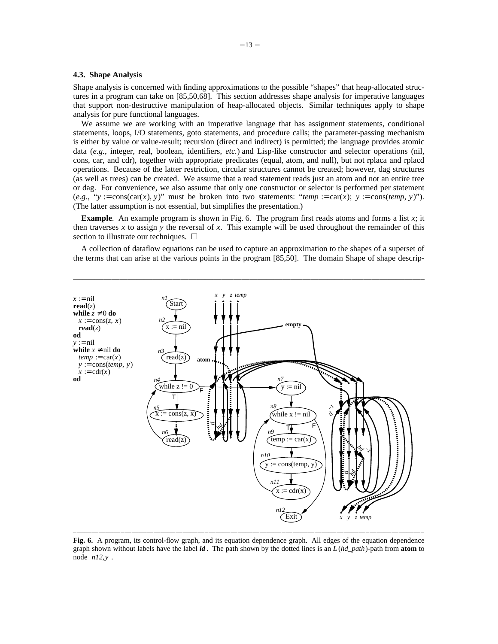### **4.3. Shape Analysis**

Shape analysis is concerned with finding approximations to the possible "shapes" that heap-allocated structures in a program can take on [85,50,68]. This section addresses shape analysis for imperative languages that support non-destructive manipulation of heap-allocated objects. Similar techniques apply to shape analysis for pure functional languages.

We assume we are working with an imperative language that has assignment statements, conditional statements, loops, I/O statements, goto statements, and procedure calls; the parameter-passing mechanism is either by value or value-result; recursion (direct and indirect) is permitted; the language provides atomic data (*e.g.*, integer, real, boolean, identifiers, *etc.*) and Lisp-like constructor and selector operations (nil, cons, car, and cdr), together with appropriate predicates (equal, atom, and null), but not rplaca and rplacd operations. Because of the latter restriction, circular structures cannot be created; however, dag structures (as well as trees) can be created. We assume that a read statement reads just an atom and not an entire tree or dag. For convenience, we also assume that only one constructor or selector is performed per statement  $(e.g., "y := \text{cons}(\text{car}(x), y)"$  must be broken into two statements: " $temp := \text{car}(x); y := \text{cons}(\text{temp}, y)"$ . (The latter assumption is not essential, but simplifies the presentation.)

**Example**. An example program is shown in Fig. 6. The program first reads atoms and forms a list *x*; it then traverses x to assign y the reversal of x. This example will be used throughout the remainder of this section to illustrate our techniques.  $\square$ 

A collection of dataflow equations can be used to capture an approximation to the shapes of a superset of the terms that can arise at the various points in the program [85,50]. The domain Shape of shape descrip-



**Fig. 6.** A program, its control-flow graph, and its equation dependence graph. All edges of the equation dependence graph shown without labels have the label *id* . The path shown by the dotted lines is an *L* (*hd\_path*)-path from **atom** to node 〈*n12*,*y*〉.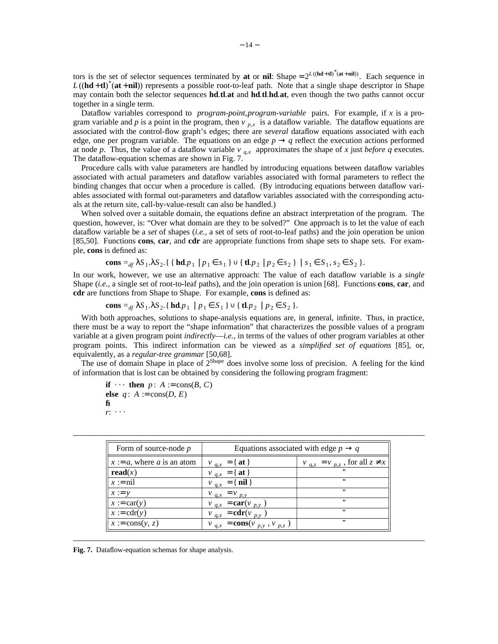tors is the set of selector sequences terminated by at or nil: Shape =  $2^{L((hd+tl)^{*}(at+nil))}$ . Each sequence in  $L((hd + tl)^*(at + nil))$  represents a possible root-to-leaf path. Note that a single shape descriptor in Shape may contain both the selector sequences **hd***.***tl***.***at** and **hd***.***tl***.***hd***.***at**, even though the two paths cannot occur together in a single term.

Dataflow variables correspond to 〈*program-point*,*program-variable*〉 pairs. For example, if *x* is a program variable and *p* is a point in the program, then  $v_{(p,x)}$  is a dataflow variable. The dataflow equations are associated with the control-flow graph's edges; there are *several* dataflow equations associated with each edge, one per program variable. The equations on an edge  $p \rightarrow q$  reflect the execution actions performed at node p. Thus, the value of a dataflow variable  $v_{\langle q,x\rangle}$  approximates the shape of x just *before* q executes. The dataflow-equation schemas are shown in Fig. 7.

Procedure calls with value parameters are handled by introducing equations between dataflow variables associated with actual parameters and dataflow variables associated with formal parameters to reflect the binding changes that occur when a procedure is called. (By introducing equations between dataflow variables associated with formal out-parameters and dataflow variables associated with the corresponding actuals at the return site, call-by-value-result can also be handled.)

When solved over a suitable domain, the equations define an abstract interpretation of the program. The question, however, is: "Over what domain are they to be solved?" One approach is to let the value of each dataflow variable be a *set* of shapes (*i.e.*, a set of sets of root-to-leaf paths) and the join operation be union [85,50]. Functions **cons**, **car**, and **cdr** are appropriate functions from shape sets to shape sets. For example, **cons** is defined as:

**cons** =<sub>df</sub> 
$$
\lambda S_1 \cdot \lambda S_2
$$
. { **hd**. $p_1 | p_1 \in s_1$  }  $\cup$  { **tl**. $p_2 | p_2 \in s_2$  } |  $s_1 \in S_1$ ,  $s_2 \in S_2$  }.

In our work, however, we use an alternative approach: The value of each dataflow variable is a *single* Shape (*i.e.*, a single set of root-to-leaf paths), and the join operation is union [68]. Functions **cons**, **car**, and **cdr** are functions from Shape to Shape. For example, **cons** is defined as:

**cons** =<sub>*df*</sub>  $\lambda S_1 \cdot \lambda S_2$ . { **hd**.*p*<sub>1</sub> | *p*<sub>1</sub> ∈ *S*<sub>1</sub></sub> } ∪ { **tl**.*p*<sub>2</sub> | *p*<sub>2</sub> ∈ *S*<sub>2</sub> }.

With both approaches, solutions to shape-analysis equations are, in general, infinite. Thus, in practice, there must be a way to report the "shape information" that characterizes the possible values of a program variable at a given program point *indirectly*—*i.e.*, in terms of the values of other program variables at other program points. This indirect information can be viewed as a *simplified set of equations* [85], or, equivalently, as a *regular-tree grammar* [50,68].

The use of domain Shape in place of  $2^{Shape}$  does involve some loss of precision. A feeling for the kind of information that is lost can be obtained by considering the following program fragment:

**if**  $\cdots$  **then**  $p: A := \text{cons}(B, C)$ **else**  $q: A := \text{cons}(D, E)$ **fi** *r*: ...

---------------------------------------------------------

------------

| Form of source-node $p$       | Equations associated with edge $p \rightarrow q$                                             |                                                                          |  |  |
|-------------------------------|----------------------------------------------------------------------------------------------|--------------------------------------------------------------------------|--|--|
| $x := a$ , where a is an atom | $v_{\langle q, x \rangle} = \{ \text{at } \}$                                                | $v_{\langle q,z \rangle} = v_{\langle p,z \rangle}$ , for all $z \neq x$ |  |  |
| read $(x)$                    | $v_{\langle q, x \rangle} = \{ \text{at } \}$                                                |                                                                          |  |  |
| $x := \text{nil}$             | $v_{\langle q, x \rangle} = \{ \text{nil} \}$                                                | $\mathbf{u}$                                                             |  |  |
| $x := y$                      | $v_{\langle q,x\rangle} = v_{\langle p,y\rangle}$                                            | $\mathbf{u}$                                                             |  |  |
| $x := \text{car}(y)$          | $v_{\langle q, x \rangle} = \mathbf{car}(v_{\langle p, y \rangle})$                          | $\mathbf{u}$                                                             |  |  |
| $x := \text{cdr}(y)$          | $v_{\langle q, x \rangle} = \mathbf{cdr}(v_{\langle p, y \rangle})$                          | $\mathbf{u}$                                                             |  |  |
| $x := \text{cons}(y, z)$      | $v_{\langle q, x \rangle} = \text{cons}(v_{\langle p, y \rangle}, v_{\langle p, z \rangle})$ | $\mathbf{u}$                                                             |  |  |

and the contract of the contract of the contract of the contract of the contract of the contract of the contract of the contract of the contract of the contract of the contract of the contract of the contract of the contra

and the contract of the contract of the contract of the contract of the contract of the contract of the contract of the contract of the contract of the contract of the contract of the contract of the contract of the contra

--**Fig. 7.** Dataflow-equation schemas for shape analysis.

-------------------------------------------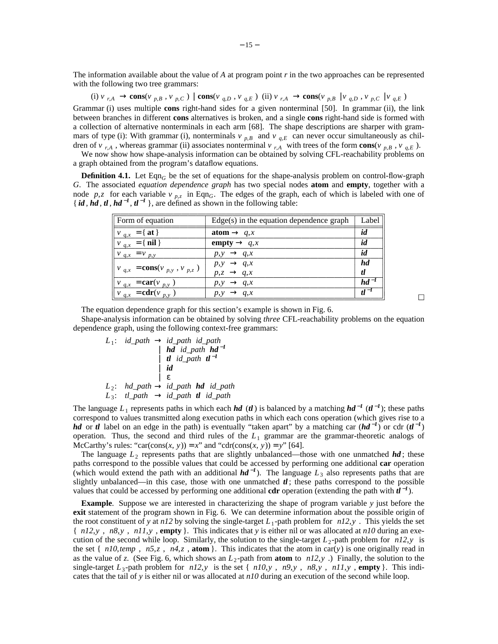The information available about the value of *A* at program point *r* in the two approaches can be represented with the following two tree grammars:

(i)  $v_{\langle r,A\rangle} \to \text{cons}(v_{\langle p,B\rangle}, v_{\langle p,C\rangle}) \mid \text{cons}(v_{\langle q,D\rangle}, v_{\langle q,E\rangle})$  (ii)  $v_{\langle r,A\rangle} \to \text{cons}(v_{\langle p,B\rangle} \mid v_{\langle q,D\rangle}, v_{\langle p,C\rangle} \mid v_{\langle q,E\rangle})$ 

Grammar (i) uses multiple **cons** right-hand sides for a given nonterminal [50]. In grammar (ii), the link between branches in different **cons** alternatives is broken, and a single **cons** right-hand side is formed with a collection of alternative nonterminals in each arm [68]. The shape descriptions are sharper with grammars of type (i): With grammar (i), nonterminals  $v_{\langle p,B\rangle}$  and  $v_{\langle q,E\rangle}$  can never occur simultaneously as children of  $v_{(r,A)}$ , whereas grammar (ii) associates nonterminal  $v_{(r,A)}$  with trees of the form  $cons(v_{(p,B)}, v_{(q,E)})$ .

We now show how shape-analysis information can be obtained by solving CFL-reachability problems on a graph obtained from the program's dataflow equations.

**Definition 4.1.** Let Eqn<sub>*G*</sub> be the set of equations for the shape-analysis problem on control-flow-graph *G*. The associated *equation dependence graph* has two special nodes **atom** and **empty**, together with a node  $\langle p,z \rangle$  for each variable  $v_{\langle p,z \rangle}$  in Eqn<sub>*G*</sub>. The edges of the graph, each of which is labeled with one of {*id*, *hd*, *tl*, *hd*<sup>-*1*</sup>, *tl*<sup>-*1*</sup>}, are defined as shown in the following table:

| Form of equation                                                                             | $Edge(s)$ in the equation dependence graph            | Label     |
|----------------------------------------------------------------------------------------------|-------------------------------------------------------|-----------|
| $v_{\langle q, x \rangle} = \{ \text{at } \}$                                                | atom $\rightarrow \langle q, x \rangle$               | id        |
| $v_{\langle q, x \rangle} = \{ \text{nil} \}$                                                | empty $\rightarrow \langle q, x \rangle$              | id        |
| $v_{\langle q, x \rangle} = v_{\langle p, y \rangle}$                                        | $\langle p,y \rangle \rightarrow \langle q,x \rangle$ | id        |
|                                                                                              | $\langle p,y \rangle \rightarrow \langle q,x \rangle$ | hd        |
| $v_{\langle q, x \rangle} = \text{cons}(v_{\langle p, y \rangle}, v_{\langle p, z \rangle})$ | $\langle p,z\rangle \rightarrow \langle q,x\rangle$   | tl        |
| $v_{\langle q, x \rangle} = \mathbf{car}(v_{\langle p, y \rangle})$                          | $\langle p,y \rangle \rightarrow \langle q,x \rangle$ | $hd^{-1}$ |
| $v_{\langle q, x \rangle} = \mathbf{cdr}(v_{\langle p, y \rangle})$                          | $\langle p,y \rangle \rightarrow \langle q,x \rangle$ | $tl^{-1}$ |

--The equation dependence graph for this section's example is shown in Fig. 6.

----------------------------

Shape-analysis information can be obtained by solving *three* CFL-reachability problems on the equation dependence graph, using the following context-free grammars:

L<sub>1</sub>: 
$$
id\_path \rightarrow id\_path \, id\_path \, hd^{-1}
$$
  
\n|  $hd \, id\_path \, hd^{-1}$   
\n|  $id$   
\n|  $id$   
\nL<sub>2</sub>:  $hd\_path \rightarrow id\_path \, hd \, id\_path$   
\nL<sub>3</sub>:  $tl\_path \rightarrow id\_path \, tl \, id\_path$ 

--------------

The language  $L_1$  represents paths in which each *hd* (*tl*) is balanced by a matching *hd*<sup>-*1*</sup> (*tl*<sup>-*1*</sup>); these paths correspond to values transmitted along execution paths in which each cons operation (which gives rise to a *hd* or *tl* label on an edge in the path) is eventually "taken apart" by a matching car (*hd*<sup>-*1*</sup>) or cdr (*tl*<sup>-*1*</sup>) operation. Thus, the second and third rules of the  $L_1$  grammar are the grammar-theoretic analogs of McCarthy's rules: "car(cons(*x*, *y*)) = *x*" and "cdr(cons(*x*, *y*)) = *y*" [64].

The language  $L_2$  represents paths that are slightly unbalanced—those with one unmatched *hd*; these paths correspond to the possible values that could be accessed by performing one additional **car** operation (which would extend the path with an additional  $hd^{-1}$ ). The language  $L_3$  also represents paths that are slightly unbalanced—in this case, those with one unmatched  $t\mathbf{l}$ ; these paths correspond to the possible values that could be accessed by performing one additional **cdr** operation (extending the path with  $\hat{\mathbf{t}}$  $^{-1}$ ).

**Example**. Suppose we are interested in characterizing the shape of program variable *y* just before the **exit** statement of the program shown in Fig. 6. We can determine information about the possible origin of the root constituent of *y* at *n12* by solving the single-target  $L_1$ -path problem for  $\langle n/2, y \rangle$ . This yields the set  $\{\langle n12,y\rangle,\langle n8,y\rangle,\langle n11,y\rangle\}$ , **empty** }. This indicates that *y* is either nil or was allocated at *n10* during an execution of the second while loop. Similarly, the solution to the single-target  $L_2$ -path problem for  $\langle n/2, y \rangle$  is the set  $\{\langle n10, temp \rangle, \langle n5, z \rangle, \langle n4, z \rangle\}$ , **atom** }. This indicates that the atom in car(*y*) is one originally read in as the value of *z*. (See Fig. 6, which shows an  $L_2$ -path from **atom** to  $\langle n/2, y \rangle$ .) Finally, the solution to the single-target  $L_3$ -path problem for  $\langle n12, y \rangle$  is the set  $\{\langle n10, y \rangle, \langle n9, y \rangle, \langle n8, y \rangle, \langle n11, y \rangle, \text{empty} \}.$  This indicates that the tail of *y* is either nil or was allocated at *n10* during an execution of the second while loop.

 $\Box$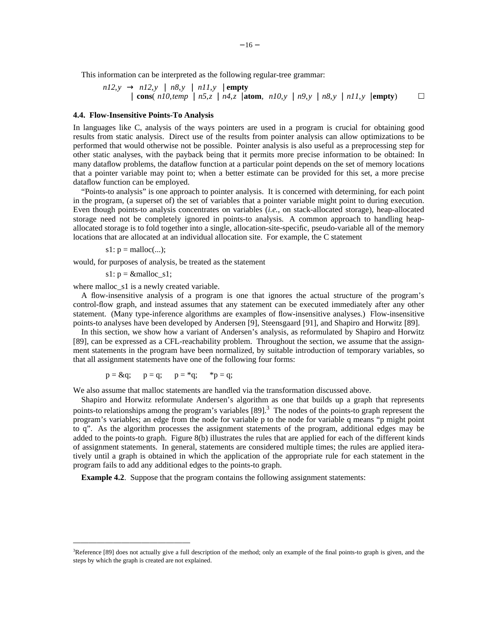This information can be interpreted as the following regular-tree grammar:

$$
\langle n12,y \rangle \rightarrow \langle n12,y \rangle \mid \langle n8,y \rangle \mid \langle n11,y \rangle \mid \text{empty} \mid \text{cons}(\langle n10, \text{temp} \rangle) \mid \langle n5,z \rangle \mid \langle n4,z \rangle \mid \text{atom}, \langle n10,y \rangle \mid \langle n9,y \rangle \mid \langle n8,y \rangle \mid \langle n11,y \rangle \mid \text{empty})
$$

### **4.4. Flow-Insensitive Points-To Analysis**

In languages like C, analysis of the ways pointers are used in a program is crucial for obtaining good results from static analysis. Direct use of the results from pointer analysis can allow optimizations to be performed that would otherwise not be possible. Pointer analysis is also useful as a preprocessing step for other static analyses, with the payback being that it permits more precise information to be obtained: In many dataflow problems, the dataflow function at a particular point depends on the set of memory locations that a pointer variable may point to; when a better estimate can be provided for this set, a more precise dataflow function can be employed.

"Points-to analysis" is one approach to pointer analysis. It is concerned with determining, for each point in the program, (a superset of) the set of variables that a pointer variable might point to during execution. Even though points-to analysis concentrates on variables (*i.e.*, on stack-allocated storage), heap-allocated storage need not be completely ignored in points-to analysis. A common approach to handling heapallocated storage is to fold together into a single, allocation-site-specific, pseudo-variable all of the memory locations that are allocated at an individual allocation site. For example, the C statement

s1:  $p = \text{malloc}(...);$ 

------------------

would, for purposes of analysis, be treated as the statement

s1:  $p = \&$ malloc s1;

where malloc\_s1 is a newly created variable.

A flow-insensitive analysis of a program is one that ignores the actual structure of the program's control-flow graph, and instead assumes that any statement can be executed immediately after any other statement. (Many type-inference algorithms are examples of flow-insensitive analyses.) Flow-insensitive points-to analyses have been developed by Andersen [9], Steensgaard [91], and Shapiro and Horwitz [89].

In this section, we show how a variant of Andersen's analysis, as reformulated by Shapiro and Horwitz [89], can be expressed as a CFL-reachability problem. Throughout the section, we assume that the assignment statements in the program have been normalized, by suitable introduction of temporary variables, so that all assignment statements have one of the following four forms:

 $p = \&q \quad p = q; \quad p = *q; \quad *p = q;$ 

We also assume that malloc statements are handled via the transformation discussed above.

Shapiro and Horwitz reformulate Andersen's algorithm as one that builds up a graph that represents points-to relationships among the program's variables  $[89]$ .<sup>3</sup> The nodes of the points-to graph represent the program's variables; an edge from the node for variable p to the node for variable q means "p might point to q". As the algorithm processes the assignment statements of the program, additional edges may be added to the points-to graph. Figure 8(b) illustrates the rules that are applied for each of the different kinds of assignment statements. In general, statements are considered multiple times; the rules are applied iteratively until a graph is obtained in which the application of the appropriate rule for each statement in the program fails to add any additional edges to the points-to graph.

**Example 4.2.** Suppose that the program contains the following assignment statements:

<sup>&</sup>lt;sup>3</sup>Reference [89] does not actually give a full description of the method; only an example of the final points-to graph is given, and the steps by which the graph is created are not explained.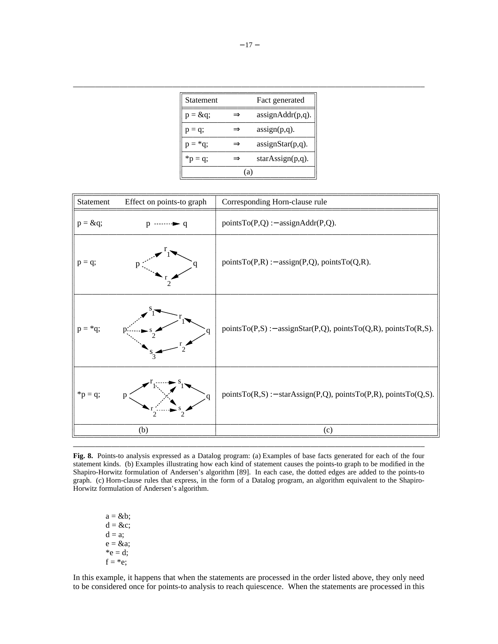| Statement  |     | Fact generated      |
|------------|-----|---------------------|
| $p = \&q$  |     | $assignAddr(p,q)$ . |
| $p = q;$   |     | $assign(p,q)$ .     |
| $p = *q$ ; |     | $assignStar(p,q)$ . |
| $*p = q;$  |     | $starAssign(p,q)$ . |
|            | (a) |                     |

| Statement | Effect on points-to graph          | Corresponding Horn-clause rule                                   |
|-----------|------------------------------------|------------------------------------------------------------------|
| $p = \&q$ | $p \cdots$ $\blacktriangleright$ q | pointsTo(P,Q) : – assignAddr(P,Q).                               |
| $p = q;$  |                                    | pointsTo(P,R) : – assign(P,Q), pointsTo(Q,R).                    |
| $p = *q;$ | $S_{3}$                            | pointsTo(P,S) : - assignStar(P,Q), pointsTo(Q,R), pointsTo(R,S). |
| $*p = q;$ | p                                  | pointsTo(R,S) :- starAssign(P,Q), pointsTo(P,R), pointsTo(Q,S).  |
|           | (b)                                | (c)                                                              |

**Fig. 8.** Points-to analysis expressed as a Datalog program: (a) Examples of base facts generated for each of the four statement kinds. (b) Examples illustrating how each kind of statement causes the points-to graph to be modified in the Shapiro-Horwitz formulation of Andersen's algorithm [89]. In each case, the dotted edges are added to the points-to graph. (c) Horn-clause rules that express, in the form of a Datalog program, an algorithm equivalent to the Shapiro-Horwitz formulation of Andersen's algorithm.

 $a = \&b$  $d = \&c$  $d = a$ ;  $e = \&a$  $e = d;$  $f = *e;$ 

---------------------------------------------------------

---------------------------------------------------------

In this example, it happens that when the statements are processed in the order listed above, they only need to be considered once for points-to analysis to reach quiescence. When the statements are processed in this

and the contract of the contract of the contract of the contract of the contract of the contract of the contract of the contract of the contract of the contract of the contract of the contract of the contract of the contra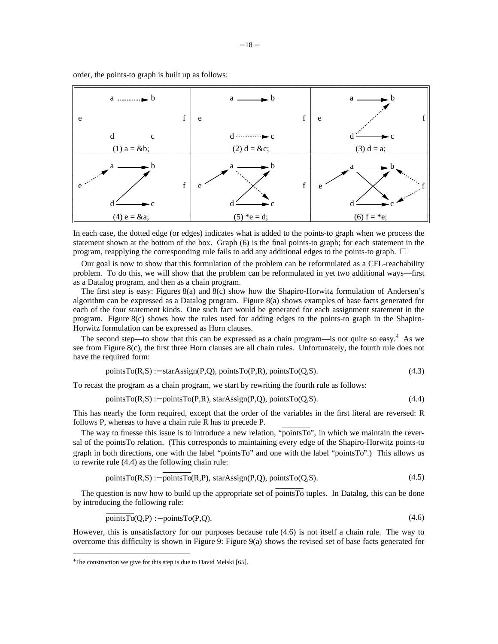order, the points-to graph is built up as follows:



In each case, the dotted edge (or edges) indicates what is added to the points-to graph when we process the statement shown at the bottom of the box. Graph (6) is the final points-to graph; for each statement in the program, reapplying the corresponding rule fails to add any additional edges to the points-to graph.  $\Box$ 

Our goal is now to show that this formulation of the problem can be reformulated as a CFL-reachability problem. To do this, we will show that the problem can be reformulated in yet two additional ways—first as a Datalog program, and then as a chain program.

The first step is easy: Figures 8(a) and 8(c) show how the Shapiro-Horwitz formulation of Andersen's algorithm can be expressed as a Datalog program. Figure 8(a) shows examples of base facts generated for each of the four statement kinds. One such fact would be generated for each assignment statement in the program. Figure 8(c) shows how the rules used for adding edges to the points-to graph in the Shapiro-Horwitz formulation can be expressed as Horn clauses.

The second step—to show that this can be expressed as a chain program—is not quite so easy.<sup>4</sup> As we see from Figure 8(c), the first three Horn clauses are all chain rules. Unfortunately, the fourth rule does not have the required form:

$$
pointsTo(R,S) := starAssign(P,Q), pointsTo(P,R), pointsTo(Q,S). \tag{4.3}
$$

To recast the program as a chain program, we start by rewriting the fourth rule as follows:

and the contract of the contract of the contract of the contract of the contract of the contract of the contract of the contract of the contract of the contract of the contract of the contract of the contract of the contra

$$
pointsTo(R,S) := pointsTo(P,R), starAssign(P,Q), pointsTo(Q,S). \tag{4.4}
$$

This has nearly the form required, except that the order of the variables in the first literal are reversed: R follows P, whereas to have a chain rule R has to precede P.

The way to finesse this issue is to introduce a new relation, "points $\overline{To}$ ", in which we maintain the reversal of the pointsTo relation. (This corresponds to maintaining every edge of the Shapiro-Horwitz points-to graph in both directions, one with the label "pointsTo" and one with the label " $\overline{pointsTo}$ ".) This allows us to rewrite rule (4.4) as the following chain rule:

$$
pointsTo(R,S) := \overline{pointsTo}(R,P), starAssign(P,Q), pointsTo(Q,S).
$$
\n(4.5)

The question is now how to build up the appropriate set of  $\overline{pointsTo}$  tuples. In Datalog, this can be done by introducing the following rule:

$$
\overline{\text{pointsTo}}(Q, P) := \text{pointsTo}(P, Q). \tag{4.6}
$$

However, this is unsatisfactory for our purposes because rule (4.6) is not itself a chain rule. The way to overcome this difficulty is shown in Figure 9: Figure 9(a) shows the revised set of base facts generated for

---

-------------

<sup>-</sup>-<sup>4</sup>The construction we give for this step is due to David Melski [65].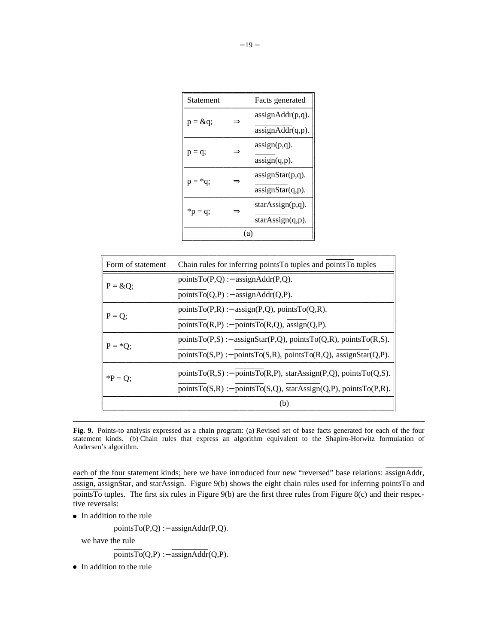| Statement  |                  | Facts generated     |
|------------|------------------|---------------------|
| $p = \&q$  |                  | $assignAddr(p,q)$ . |
|            |                  | $assignAddr(q,p)$ . |
| $p = q;$   |                  | $assign(p,q)$ .     |
|            |                  | $assign(q, p)$ .    |
| $p = *q$ ; |                  | $assignStar(p,q)$ . |
|            |                  | assignStar(q,p).    |
| * $p = q;$ |                  | starAssign(p,q).    |
|            | starAssign(q,p). |                     |
|            |                  | (a)                 |

| Form of statement | Chain rules for inferring points To tuples and points To tuples                         |  |  |
|-------------------|-----------------------------------------------------------------------------------------|--|--|
| $P = \&Q$         | pointsTo(P,Q) : – assignAddr(P,Q).                                                      |  |  |
|                   | pointsTo(Q,P) : – assignAddr(Q,P).                                                      |  |  |
| $P = Q$ ;         | pointsTo(P,R) : – assign(P,Q), pointsTo(Q,R).                                           |  |  |
|                   | points $To(R,P) := \text{points} To(R,Q)$ , assign(Q,P).                                |  |  |
| $P = *O$ :        | points $To(P,S)$ : – assign $Star(P,Q)$ , points $To(Q,R)$ , points $To(R,S)$ .         |  |  |
|                   | points $To(S, P) := \text{points} To(S, R)$ , points $To(R, Q)$ , assign $Star(Q, P)$ . |  |  |
| $*P = Q;$         | points $To(R, S)$ : – points $To(R, P)$ , starAssign $(P, Q)$ , points $To(Q, S)$ .     |  |  |
|                   | points $To(S,R) := \text{points} To(S,Q)$ , starAssign(Q,P), points $To(P,R)$ .         |  |  |
|                   | (b)                                                                                     |  |  |

**Fig. 9.** Points-to analysis expressed as a chain program: (a) Revised set of base facts generated for each of the four statement kinds. (b) Chain rules that express an algorithm equivalent to the Shapiro-Horwitz formulation of Andersen's algorithm.

each of the four statement kinds; here we have introduced four new "reversed" base relations: assignAddr, assign, assignStar, and starAssign. Figure 9(b) shows the eight chain rules used for inferring pointsTo and  $\frac{1}{100}$  tuples. The first six rules in Figure 9(b) are the first three rules from Figure 8(c) and their respective reversals:

• In addition to the rule

---------------------------------------------------------

---------------------------------------------------------

pointsTo(P,Q) :− assignAddr(P,Q).

we have the rule

 $\overline{\text{pointsTo}}(Q,P) := \overline{\text{assignAddr}}(Q,P).$ 

• In addition to the rule

and the contract of the contract of the contract of the contract of the contract of the contract of the contract of the contract of the contract of the contract of the contract of the contract of the contract of the contra

and the contract of the contract of the contract of the contract of the contract of the contract of the contract of the contract of the contract of the contract of the contract of the contract of the contract of the contra

and the contract of the contract of the contract of the contract of the contract of the contract of the contract of the contract of the contract of the contract of the contract of the contract of the contract of the contra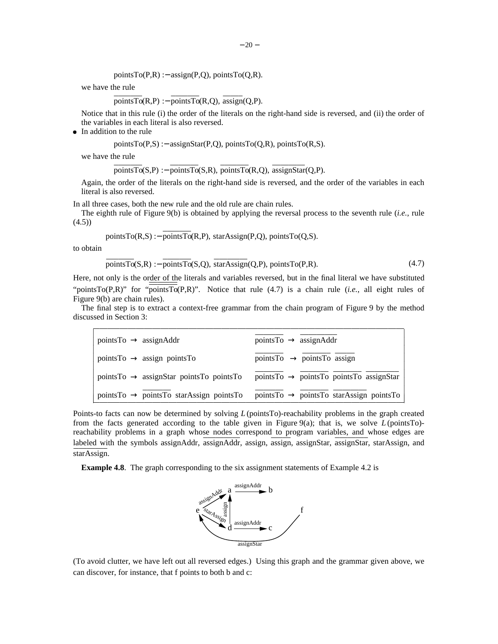$pointsTo(P,R) := assign(P,Q)$ , pointsTo( $Q,R$ ).

we have the rule

 $\overline{\text{pointsTo}}(R,P) := \overline{\text{pointsTo}}(R,Q), \overline{\text{assign}}(Q,P).$ 

Notice that in this rule (i) the order of the literals on the right-hand side is reversed, and (ii) the order of the variables in each literal is also reversed.

• In addition to the rule

pointsTo(P,S) :− assignStar(P,Q), pointsTo(Q,R), pointsTo(R,S).

we have the rule

 $\overline{pointsTo}(S,P) := \overline{pointsTo}(S,R), \overline{pointsTo}(R,Q), \overline{assignStar(Q,P)}.$ 

Again, the order of the literals on the right-hand side is reversed, and the order of the variables in each literal is also reversed.

In all three cases, both the new rule and the old rule are chain rules.

The eighth rule of Figure 9(b) is obtained by applying the reversal process to the seventh rule (*i.e.*, rule (4.5))

$$
pointsTo(R,S) := \overline{pointsTo}(R,P), starAssign(P,Q), pointsTo(Q,S)
$$

to obtain

---------------------------------------------------

 $\frac{1}{\text{pointsTo}}(S,R) := \frac{1}{\text{pointsTo}(S,Q)}$ ,  $\frac{\text{starAssign}(Q,P)}{\text{starAssign}(Q,P)}$ , pointsTo(P,R). (4.7)

Here, not only is the order of the literals and variables reversed, but in the final literal we have substituted "pointsTo(P,R)" for " $\overline{\overline{pointsTo}(P,R)}$ ". Notice that rule (4.7) is a chain rule (*i.e.*, all eight rules of Figure 9(b) are chain rules).

The final step is to extract a context-free grammar from the chain program of Figure 9 by the method discussed in Section 3:

| points To $\rightarrow$ assign Addr                     | points To $\rightarrow$ assign Addr                     |
|---------------------------------------------------------|---------------------------------------------------------|
| points To $\rightarrow$ assign points To                | points To $\rightarrow$ points To assign                |
| points To $\rightarrow$ assignstar points To points To  | points To $\rightarrow$ points To points To assign Star |
| points To $\rightarrow$ points To star Assign points To | points To $\rightarrow$ points To star Assign points To |

Points-to facts can now be determined by solving *L*(pointsTo)-reachability problems in the graph created from the facts generated according to the table given in Figure 9(a); that is, we solve *L*(pointsTo) reachability problems in a graph whose nodes correspond to program variables, and whose edges are labeled with the symbols assignAddr, assignAddr, assign, assign, assignStar, assignStar, starAssign, and starAssign. 

**Example 4.8**. The graph corresponding to the six assignment statements of Example 4.2 is



(To avoid clutter, we have left out all reversed edges.) Using this graph and the grammar given above, we can discover, for instance, that f points to both b and c: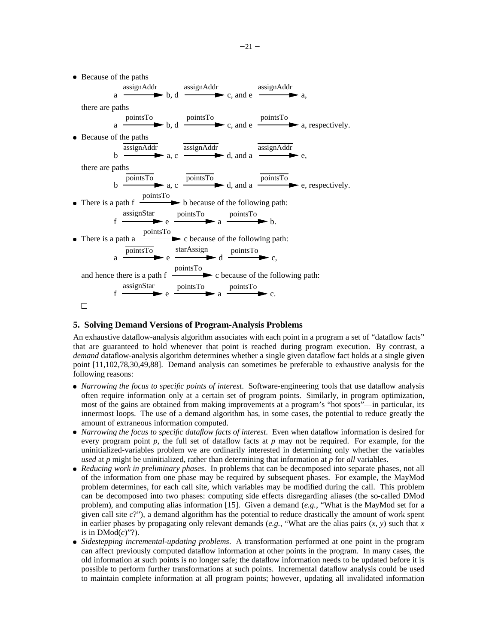Because of the paths assignAddr

a b, d  $\longrightarrow$  c, and e assignAddr assignAddr a, there are paths a pointsTo b, d pointsTo c, and e pointsTo a, respectively. Because of the paths b assignAddr  $\rightarrow$  a, c  $\rightarrow$ assignAddr d, and a assignAddr e, there are paths b pointsTo a, c pointsTo d, and a pointsTo e, respectively. • There is a path f pointsTo b because of the following path:  $f$ assignStar e pointsTo a pointsTo b. • There is a path a pointsTo  $\blacktriangleright$  c because of the following path: a pointsTo e starAssign d pointsTo c, and hence there is a path f pointsTo c because of the following path:  $f$ assignStar e pointsTo a pointsTo c.  $\Box$ 

## **5. Solving Demand Versions of Program-Analysis Problems**

An exhaustive dataflow-analysis algorithm associates with each point in a program a set of "dataflow facts" that are guaranteed to hold whenever that point is reached during program execution. By contrast, a *demand* dataflow-analysis algorithm determines whether a single given dataflow fact holds at a single given point [11,102,78,30,49,88]. Demand analysis can sometimes be preferable to exhaustive analysis for the following reasons:

- *Narrowing the focus to specific points of interest*. Software-engineering tools that use dataflow analysis often require information only at a certain set of program points. Similarly, in program optimization, most of the gains are obtained from making improvements at a program's "hot spots"—in particular, its innermost loops. The use of a demand algorithm has, in some cases, the potential to reduce greatly the amount of extraneous information computed.
- *Narrowing the focus to specific dataflow facts of interest*. Even when dataflow information is desired for every program point *p*, the full set of dataflow facts at *p* may not be required. For example, for the uninitialized-variables problem we are ordinarily interested in determining only whether the variables *used* at *p* might be uninitialized, rather than determining that information at *p* for *all* variables.
- *Reducing work in preliminary phases*. In problems that can be decomposed into separate phases, not all of the information from one phase may be required by subsequent phases. For example, the MayMod problem determines, for each call site, which variables may be modified during the call. This problem can be decomposed into two phases: computing side effects disregarding aliases (the so-called DMod problem), and computing alias information [15]. Given a demand (*e.g.*, "What is the MayMod set for a given call site *c*?"), a demand algorithm has the potential to reduce drastically the amount of work spent in earlier phases by propagating only relevant demands (*e.g.*, "What are the alias pairs (*x*, *y*) such that *x* is in  $\text{DMod}(c)$ "?).
- *Sidestepping incremental-updating problems*. A transformation performed at one point in the program can affect previously computed dataflow information at other points in the program. In many cases, the old information at such points is no longer safe; the dataflow information needs to be updated before it is possible to perform further transformations at such points. Incremental dataflow analysis could be used to maintain complete information at all program points; however, updating all invalidated information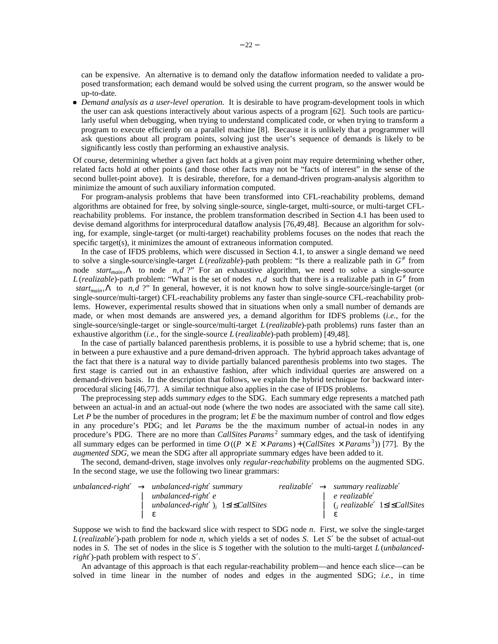can be expensive. An alternative is to demand only the dataflow information needed to validate a proposed transformation; each demand would be solved using the current program, so the answer would be up-to-date.

 *Demand analysis as a user-level operation*. It is desirable to have program-development tools in which the user can ask questions interactively about various aspects of a program [62]. Such tools are particularly useful when debugging, when trying to understand complicated code, or when trying to transform a program to execute efficiently on a parallel machine [8]. Because it is unlikely that a programmer will ask questions about all program points, solving just the user's sequence of demands is likely to be significantly less costly than performing an exhaustive analysis.

Of course, determining whether a given fact holds at a given point may require determining whether other, related facts hold at other points (and those other facts may not be "facts of interest" in the sense of the second bullet-point above). It is desirable, therefore, for a demand-driven program-analysis algorithm to minimize the amount of such auxiliary information computed.

For program-analysis problems that have been transformed into CFL-reachability problems, demand algorithms are obtained for free, by solving single-source, single-target, multi-source, or multi-target CFLreachability problems. For instance, the problem transformation described in Section 4.1 has been used to devise demand algorithms for interprocedural dataflow analysis [76,49,48]. Because an algorithm for solving, for example, single-target (or multi-target) reachability problems focuses on the nodes that reach the specific target(s), it minimizes the amount of extraneous information computed.

In the case of IFDS problems, which were discussed in Section 4.1, to answer a single demand we need to solve a single-source/single-target *L*(*realizable*)-path problem: "Is there a realizable path in *G #* from node  $\langle start_{main}, \Lambda \rangle$  to node  $\langle n, d \rangle$ ?" For an exhaustive algorithm, we need to solve a single-source *L*(*realizable*)-path problem: "What is the set of nodes  $\langle n, d \rangle$  such that there is a realizable path in  $G^{\#}$  from 〈*startmain*,Λ〉 to 〈*n*,*d*〉?" In general, however, it is not known how to solve single-source/single-target (or single-source/multi-target) CFL-reachability problems any faster than single-source CFL-reachability problems. However, experimental results showed that in situations when only a small number of demands are made, or when most demands are answered *yes*, a demand algorithm for IDFS problems (*i.e.*, for the single-source/single-target or single-source/multi-target *L*(*realizable*)-path problems) runs faster than an exhaustive algorithm (*i.e.*, for the single-source *L*(*realizable*)-path problem) [49,48].

In the case of partially balanced parenthesis problems, it is possible to use a hybrid scheme; that is, one in between a pure exhaustive and a pure demand-driven approach. The hybrid approach takes advantage of the fact that there is a natural way to divide partially balanced parenthesis problems into two stages. The first stage is carried out in an exhaustive fashion, after which individual queries are answered on a demand-driven basis. In the description that follows, we explain the hybrid technique for backward interprocedural slicing [46,77]. A similar technique also applies in the case of IFDS problems.

The preprocessing step adds *summary edges* to the SDG. Each summary edge represents a matched path between an actual-in and an actual-out node (where the two nodes are associated with the same call site). Let *P* be the number of procedures in the program; let *E* be the maximum number of control and flow edges in any procedure's PDG; and let *Params* be the the maximum number of actual-in nodes in any procedure's PDG. There are no more than *CallSites Params*<sup>2</sup> summary edges, and the task of identifying all summary edges can be performed in time  $O((P \times E \timesq$  *Params* $)+(CallSttes \timesq$  *Params*<sup>3</sup> $))$  [77]. By the *augmented SDG*, we mean the SDG after all appropriate summary edges have been added to it.

The second, demand-driven, stage involves only *regular-reachability* problems on the augmented SDG. In the second stage, we use the following two linear grammars:

|  | unbalanced-right' $\rightarrow$ unbalanced-right' summary |  | $realizable' \rightarrow summary\ realizable'$  |
|--|-----------------------------------------------------------|--|-------------------------------------------------|
|  | unbalanced-right' e                                       |  | e realizable'                                   |
|  | unbalanced-right'); $1 \le i \le$ CallSites               |  | $\int$ ( <i>; realizable'</i> 1 \le Scall Sites |
|  | $\epsilon$                                                |  |                                                 |

Suppose we wish to find the backward slice with respect to SDG node *n*. First, we solve the single-target *L*(*realizable*′)-path problem for node *n*, which yields a set of nodes *S*. Let *S*′ be the subset of actual-out nodes in *S*. The set of nodes in the slice is *S* together with the solution to the multi-target *L*(*unbalancedright*′)-path problem with respect to *S*′.

An advantage of this approach is that each regular-reachability problem—and hence each slice—can be solved in time linear in the number of nodes and edges in the augmented SDG; *i.e.*, in time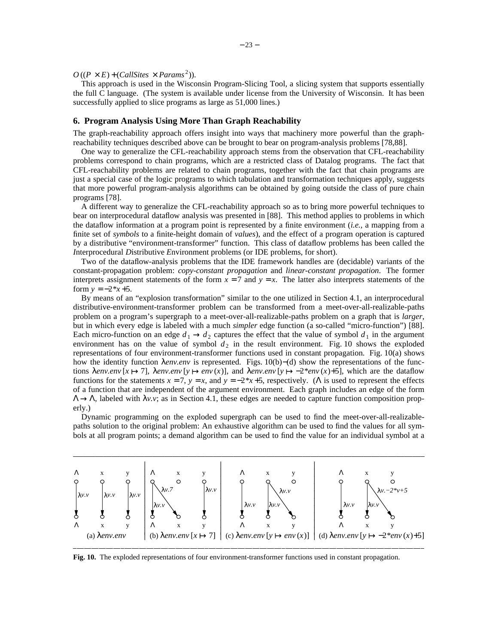$O((P \times E) + (CallSties \times \text{Parameters}^2)).$ 

This approach is used in the Wisconsin Program-Slicing Tool, a slicing system that supports essentially the full C language. (The system is available under license from the University of Wisconsin. It has been successfully applied to slice programs as large as 51,000 lines.)

## **6. Program Analysis Using More Than Graph Reachability**

The graph-reachability approach offers insight into ways that machinery more powerful than the graphreachability techniques described above can be brought to bear on program-analysis problems [78,88].

One way to generalize the CFL-reachability approach stems from the observation that CFL-reachability problems correspond to chain programs, which are a restricted class of Datalog programs. The fact that CFL-reachability problems are related to chain programs, together with the fact that chain programs are just a special case of the logic programs to which tabulation and transformation techniques apply, suggests that more powerful program-analysis algorithms can be obtained by going outside the class of pure chain programs [78].

A different way to generalize the CFL-reachability approach so as to bring more powerful techniques to bear on interprocedural dataflow analysis was presented in [88]. This method applies to problems in which the dataflow information at a program point is represented by a finite environment (*i.e.*, a mapping from a finite set of *symbols* to a finite-height domain of *values*), and the effect of a program operation is captured by a distributive "environment-transformer" function. This class of dataflow problems has been called the *I*nterprocedural *D*istributive *E*nvironment problems (or IDE problems, for short).

Two of the dataflow-analysis problems that the IDE framework handles are (decidable) variants of the constant-propagation problem: *copy-constant propagation* and *linear-constant propagation*. The former interprets assignment statements of the form  $x = 7$  and  $y = x$ . The latter also interprets statements of the form  $y = -2*x+5$ .

By means of an "explosion transformation" similar to the one utilized in Section 4.1, an interprocedural distributive-environment-transformer problem can be transformed from a meet-over-all-realizable-paths problem on a program's supergraph to a meet-over-all-realizable-paths problem on a graph that is *larger*, but in which every edge is labeled with a much *simpler* edge function (a so-called "micro-function") [88]. Each micro-function on an edge  $d_1 \rightarrow d_2$  captures the effect that the value of symbol  $d_1$  in the argument environment has on the value of symbol  $d_2$  in the result environment. Fig. 10 shows the exploded representations of four environment-transformer functions used in constant propagation. Fig. 10(a) shows how the identity function λ*env.env* is represented. Figs. 10(b)−(d) show the representations of the functions  $\lambda env. env [x \rightarrow 7]$ ,  $\lambda env. env [y \rightarrow env(x)]$ , and  $\lambda env. env [y \rightarrow -2*env(x)+5]$ , which are the dataflow functions for the statements  $x = 7$ ,  $y = x$ , and  $y = -2*x + 5$ , respectively. ( $\Lambda$  is used to represent the effects of a function that are independent of the argument environment. Each graph includes an edge of the form  $\Lambda \rightarrow \Lambda$ , labeled with  $\lambda v.v$ ; as in Section 4.1, these edges are needed to capture function composition properly.)

Dynamic programming on the exploded supergraph can be used to find the meet-over-all-realizablepaths solution to the original problem: An exhaustive algorithm can be used to find the values for all symbols at all program points; a demand algorithm can be used to find the value for an individual symbol at a



and the contract of the contract of the contract of the contract of the contract of the contract of the contract of the contract of the contract of the contract of the contract of the contract of the contract of the contra

**Fig. 10.** The exploded representations of four environment-transformer functions used in constant propagation.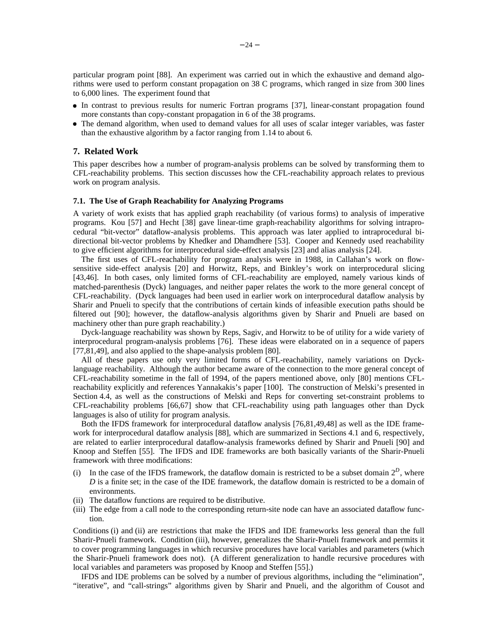particular program point [88]. An experiment was carried out in which the exhaustive and demand algorithms were used to perform constant propagation on 38 C programs, which ranged in size from 300 lines to 6,000 lines. The experiment found that

- In contrast to previous results for numeric Fortran programs [37], linear-constant propagation found more constants than copy-constant propagation in 6 of the 38 programs.
- The demand algorithm, when used to demand values for all uses of scalar integer variables, was faster than the exhaustive algorithm by a factor ranging from 1.14 to about 6.

### **7. Related Work**

This paper describes how a number of program-analysis problems can be solved by transforming them to CFL-reachability problems. This section discusses how the CFL-reachability approach relates to previous work on program analysis.

### **7.1. The Use of Graph Reachability for Analyzing Programs**

A variety of work exists that has applied graph reachability (of various forms) to analysis of imperative programs. Kou [57] and Hecht [38] gave linear-time graph-reachability algorithms for solving intraprocedural "bit-vector" dataflow-analysis problems. This approach was later applied to intraprocedural bidirectional bit-vector problems by Khedker and Dhamdhere [53]. Cooper and Kennedy used reachability to give efficient algorithms for interprocedural side-effect analysis [23] and alias analysis [24].

The first uses of CFL-reachability for program analysis were in 1988, in Callahan's work on flowsensitive side-effect analysis [20] and Horwitz, Reps, and Binkley's work on interprocedural slicing [43,46]. In both cases, only limited forms of CFL-reachability are employed, namely various kinds of matched-parenthesis (Dyck) languages, and neither paper relates the work to the more general concept of CFL-reachability. (Dyck languages had been used in earlier work on interprocedural dataflow analysis by Sharir and Pnueli to specify that the contributions of certain kinds of infeasible execution paths should be filtered out [90]; however, the dataflow-analysis algorithms given by Sharir and Pnueli are based on machinery other than pure graph reachability.)

Dyck-language reachability was shown by Reps, Sagiv, and Horwitz to be of utility for a wide variety of interprocedural program-analysis problems [76]. These ideas were elaborated on in a sequence of papers [77,81,49], and also applied to the shape-analysis problem [80].

All of these papers use only very limited forms of CFL-reachability, namely variations on Dycklanguage reachability. Although the author became aware of the connection to the more general concept of CFL-reachability sometime in the fall of 1994, of the papers mentioned above, only [80] mentions CFLreachability explicitly and references Yannakakis's paper [100]. The construction of Melski's presented in Section 4.4, as well as the constructions of Melski and Reps for converting set-constraint problems to CFL-reachability problems [66,67] show that CFL-reachability using path languages other than Dyck languages is also of utility for program analysis.

Both the IFDS framework for interprocedural dataflow analysis [76,81,49,48] as well as the IDE framework for interprocedural dataflow analysis [88], which are summarized in Sections 4.1 and 6, respectively, are related to earlier interprocedural dataflow-analysis frameworks defined by Sharir and Pnueli [90] and Knoop and Steffen [55]. The IFDS and IDE frameworks are both basically variants of the Sharir-Pnueli framework with three modifications:

- (i) In the case of the IFDS framework, the dataflow domain is restricted to be a subset domain  $2^D$ , where *D* is a finite set; in the case of the IDE framework, the dataflow domain is restricted to be a domain of environments.
- (ii) The dataflow functions are required to be distributive.
- (iii) The edge from a call node to the corresponding return-site node can have an associated dataflow function.

Conditions (i) and (ii) are restrictions that make the IFDS and IDE frameworks less general than the full Sharir-Pnueli framework. Condition (iii), however, generalizes the Sharir-Pnueli framework and permits it to cover programming languages in which recursive procedures have local variables and parameters (which the Sharir-Pnueli framework does not). (A different generalization to handle recursive procedures with local variables and parameters was proposed by Knoop and Steffen [55].)

IFDS and IDE problems can be solved by a number of previous algorithms, including the "elimination", "iterative", and "call-strings" algorithms given by Sharir and Pnueli, and the algorithm of Cousot and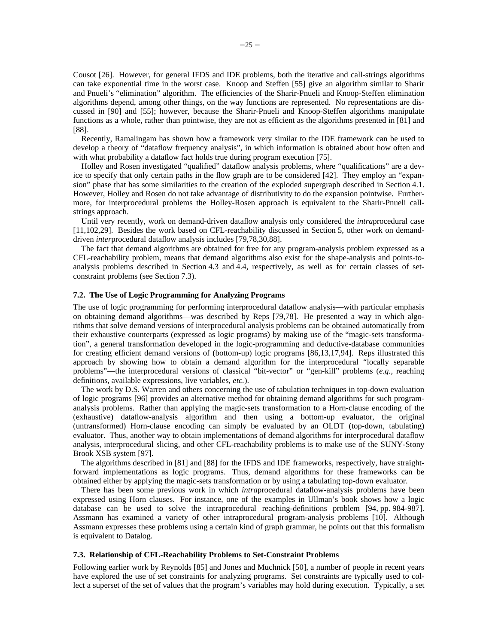Cousot [26]. However, for general IFDS and IDE problems, both the iterative and call-strings algorithms can take exponential time in the worst case. Knoop and Steffen [55] give an algorithm similar to Sharir and Pnueli's "elimination" algorithm. The efficiencies of the Sharir-Pnueli and Knoop-Steffen elimination algorithms depend, among other things, on the way functions are represented. No representations are discussed in [90] and [55]; however, because the Sharir-Pnueli and Knoop-Steffen algorithms manipulate functions as a whole, rather than pointwise, they are not as efficient as the algorithms presented in [81] and [88].

Recently, Ramalingam has shown how a framework very similar to the IDE framework can be used to develop a theory of "dataflow frequency analysis", in which information is obtained about how often and with what probability a dataflow fact holds true during program execution [75].

Holley and Rosen investigated "qualified" dataflow analysis problems, where "qualifications" are a device to specify that only certain paths in the flow graph are to be considered [42]. They employ an "expansion" phase that has some similarities to the creation of the exploded supergraph described in Section 4.1. However, Holley and Rosen do not take advantage of distributivity to do the expansion pointwise. Furthermore, for interprocedural problems the Holley-Rosen approach is equivalent to the Sharir-Pnueli callstrings approach.

Until very recently, work on demand-driven dataflow analysis only considered the *intra*procedural case [11,102,29]. Besides the work based on CFL-reachability discussed in Section 5, other work on demanddriven *inter*procedural dataflow analysis includes [79,78,30,88].

The fact that demand algorithms are obtained for free for any program-analysis problem expressed as a CFL-reachability problem, means that demand algorithms also exist for the shape-analysis and points-toanalysis problems described in Section 4.3 and 4.4, respectively, as well as for certain classes of setconstraint problems (see Section 7.3).

## **7.2. The Use of Logic Programming for Analyzing Programs**

The use of logic programming for performing interprocedural dataflow analysis—with particular emphasis on obtaining demand algorithms—was described by Reps [79,78]. He presented a way in which algorithms that solve demand versions of interprocedural analysis problems can be obtained automatically from their exhaustive counterparts (expressed as logic programs) by making use of the "magic-sets transformation", a general transformation developed in the logic-programming and deductive-database communities for creating efficient demand versions of (bottom-up) logic programs [86,13,17,94]. Reps illustrated this approach by showing how to obtain a demand algorithm for the interprocedural "locally separable problems"—the interprocedural versions of classical "bit-vector" or "gen-kill" problems (*e.g.*, reaching definitions, available expressions, live variables, *etc.*).

The work by D.S. Warren and others concerning the use of tabulation techniques in top-down evaluation of logic programs [96] provides an alternative method for obtaining demand algorithms for such programanalysis problems. Rather than applying the magic-sets transformation to a Horn-clause encoding of the (exhaustive) dataflow-analysis algorithm and then using a bottom-up evaluator, the original (untransformed) Horn-clause encoding can simply be evaluated by an OLDT (top-down, tabulating) evaluator. Thus, another way to obtain implementations of demand algorithms for interprocedural dataflow analysis, interprocedural slicing, and other CFL-reachability problems is to make use of the SUNY-Stony Brook XSB system [97].

The algorithms described in [81] and [88] for the IFDS and IDE frameworks, respectively, have straightforward implementations as logic programs. Thus, demand algorithms for these frameworks can be obtained either by applying the magic-sets transformation or by using a tabulating top-down evaluator.

There has been some previous work in which *intra*procedural dataflow-analysis problems have been expressed using Horn clauses. For instance, one of the examples in Ullman's book shows how a logic database can be used to solve the intraprocedural reaching-definitions problem [94, pp. 984-987]. Assmann has examined a variety of other intraprocedural program-analysis problems [10]. Although Assmann expresses these problems using a certain kind of graph grammar, he points out that this formalism is equivalent to Datalog.

## **7.3. Relationship of CFL-Reachability Problems to Set-Constraint Problems**

Following earlier work by Reynolds [85] and Jones and Muchnick [50], a number of people in recent years have explored the use of set constraints for analyzing programs. Set constraints are typically used to collect a superset of the set of values that the program's variables may hold during execution. Typically, a set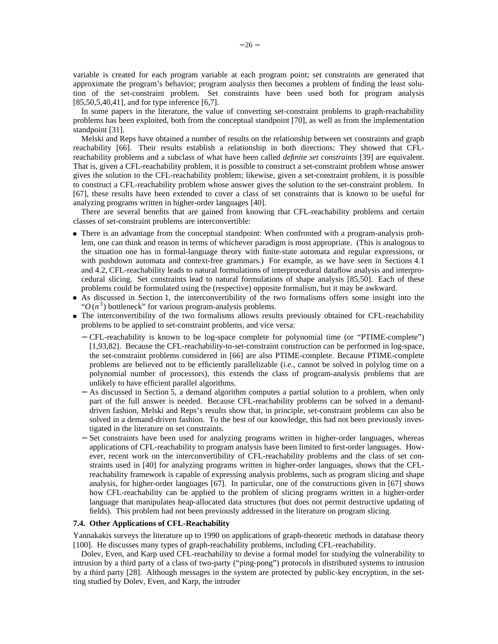variable is created for each program variable at each program point; set constraints are generated that approximate the program's behavior; program analysis then becomes a problem of finding the least solution of the set-constraint problem. Set constraints have been used both for program analysis [85,50,5,40,41], and for type inference [6,7].

In some papers in the literature, the value of converting set-constraint problems to graph-reachability problems has been exploited, both from the conceptual standpoint [70], as well as from the implementation standpoint [31].

Melski and Reps have obtained a number of results on the relationship between set constraints and graph reachability [66]. Their results establish a relationship in both directions: They showed that CFLreachability problems and a subclass of what have been called *definite set constraints* [39] are equivalent. That is, given a CFL-reachability problem, it is possible to construct a set-constraint problem whose answer gives the solution to the CFL-reachability problem; likewise, given a set-constraint problem, it is possible to construct a CFL-reachability problem whose answer gives the solution to the set-constraint problem. In [67], these results have been extended to cover a class of set constraints that is known to be useful for analyzing programs written in higher-order languages [40].

There are several benefits that are gained from knowing that CFL-reachability problems and certain classes of set-constraint problems are interconvertible:

- There is an advantage from the conceptual standpoint: When confronted with a program-analysis problem, one can think and reason in terms of whichever paradigm is most appropriate. (This is analogous to the situation one has in formal-language theory with finite-state automata and regular expressions, or with pushdown automata and context-free grammars.) For example, as we have seen in Sections 4.1 and 4.2, CFL-reachability leads to natural formulations of interprocedural dataflow analysis and interprocedural slicing. Set constraints lead to natural formulations of shape analysis [85,50]. Each of these problems could be formulated using the (respective) opposite formalism, but it may be awkward.
- As discussed in Section 1, the interconvertibility of the two formalisms offers some insight into the " $O(n^3)$  bottleneck" for various program-analysis problems.
- The interconvertibility of the two formalisms allows results previously obtained for CFL-reachability problems to be applied to set-constraint problems, and vice versa:
	- − CFL-reachability is known to be log-space complete for polynomial time (or "PTIME-complete") [1,93,82]. Because the CFL-reachability-to-set-constraint construction can be performed in log-space, the set-constraint problems considered in [66] are also PTIME-complete. Because PTIME-complete problems are believed not to be efficiently parallelizable (*i.e.*, cannot be solved in polylog time on a polynomial number of processors), this extends the class of program-analysis problems that are unlikely to have efficient parallel algorithms.
	- − As discussed in Section 5, a demand algorithm computes a partial solution to a problem, when only part of the full answer is needed. Because CFL-reachability problems can be solved in a demanddriven fashion, Melski and Reps's results show that, in principle, set-constraint problems can also be solved in a demand-driven fashion. To the best of our knowledge, this had not been previously investigated in the literature on set constraints.
	- Set constraints have been used for analyzing programs written in higher-order languages, whereas applications of CFL-reachability to program analysis have been limited to first-order languages. However, recent work on the interconvertibility of CFL-reachability problems and the class of set constraints used in [40] for analyzing programs written in higher-order languages, shows that the CFLreachability framework is capable of expressing analysis problems, such as program slicing and shape analysis, for higher-order languages [67]. In particular, one of the constructions given in [67] shows how CFL-reachability can be applied to the problem of slicing programs written in a higher-order language that manipulates heap-allocated data structures (but does not permit destructive updating of fields). This problem had not been previously addressed in the literature on program slicing.

## **7.4. Other Applications of CFL-Reachability**

Yannakakis surveys the literature up to 1990 on applications of graph-theoretic methods in database theory [100]. He discusses many types of graph-reachability problems, including CFL-reachability.

Dolev, Even, and Karp used CFL-reachability to devise a formal model for studying the vulnerability to intrusion by a third party of a class of two-party ("ping-pong") protocols in distributed systems to intrusion by a third party [28]. Although messages in the system are protected by public-key encryption, in the setting studied by Dolev, Even, and Karp, the intruder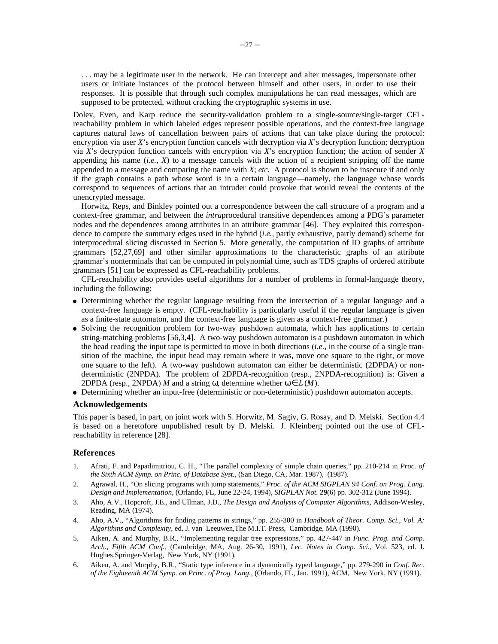. . . may be a legitimate user in the network. He can intercept and alter messages, impersonate other users or initiate instances of the protocol between himself and other users, in order to use their responses. It is possible that through such complex manipulations he can read messages, which are supposed to be protected, without cracking the cryptographic systems in use.

Dolev, Even, and Karp reduce the security-validation problem to a single-source/single-target CFLreachability problem in which labeled edges represent possible operations, and the context-free language captures natural laws of cancellation between pairs of actions that can take place during the protocol: encryption via user *X*'s encryption function cancels with decryption via *X*'s decryption function; decryption via *X*'s decryption function cancels with encryption via *X*'s encryption function; the action of sender *X* appending his name (*i.e.*, *X*) to a message cancels with the action of a recipient stripping off the name appended to a message and comparing the name with *X*; *etc.* A protocol is shown to be insecure if and only if the graph contains a path whose word is in a certain language—namely, the language whose words correspond to sequences of actions that an intruder could provoke that would reveal the contents of the unencrypted message.

Horwitz, Reps, and Binkley pointed out a correspondence between the call structure of a program and a context-free grammar, and between the *intra*procedural transitive dependences among a PDG's parameter nodes and the dependences among attributes in an attribute grammar [46]. They exploited this correspondence to compute the summary edges used in the hybrid (*i.e.*, partly exhaustive, partly demand) scheme for interprocedural slicing discussed in Section 5. More generally, the computation of IO graphs of attribute grammars [52,27,69] and other similar approximations to the characteristic graphs of an attribute grammar's nonterminals that can be computed in polynomial time, such as TDS graphs of ordered attribute grammars [51] can be expressed as CFL-reachability problems.

CFL-reachability also provides useful algorithms for a number of problems in formal-language theory, including the following:

- Determining whether the regular language resulting from the intersection of a regular language and a context-free language is empty. (CFL-reachability is particularly useful if the regular language is given as a finite-state automaton, and the context-free language is given as a context-free grammar.)
- Solving the recognition problem for two-way pushdown automata, which has applications to certain string-matching problems [56,3,4]. A two-way pushdown automaton is a pushdown automaton in which the head reading the input tape is permitted to move in both directions (*i.e.*, in the course of a single transition of the machine, the input head may remain where it was, move one square to the right, or move one square to the left). A two-way pushdown automaton can either be deterministic (2DPDA) or nondeterministic (2NPDA). The problem of 2DPDA-recognition (resp., 2NPDA-recognition) is: Given a 2DPDA (resp., 2NPDA) *M* and a string  $\omega$ , determine whether  $\omega \in L(M)$ .
- Determining whether an input-free (deterministic or non-deterministic) pushdown automaton accepts.

## **Acknowledgements**

This paper is based, in part, on joint work with S. Horwitz, M. Sagiv, G. Rosay, and D. Melski. Section 4.4 is based on a heretofore unpublished result by D. Melski. J. Kleinberg pointed out the use of CFLreachability in reference [28].

## **References**

- 1. Afrati, F. and Papadimitriou, C. H., "The parallel complexity of simple chain queries," pp. 210-214 in *Proc. of the Sixth ACM Symp. on Princ. of Database Syst.,* (San Diego, CA, Mar. 1987), (1987).
- 2. Agrawal, H., "On slicing programs with jump statements," *Proc. of the ACM SIGPLAN 94 Conf. on Prog. Lang. Design and Implementation,* (Orlando, FL, June 22-24, 1994)*, SIGPLAN Not.* **29**(6) pp. 302-312 (June 1994).
- 3. Aho, A.V., Hopcroft, J.E., and Ullman, J.D., *The Design and Analysis of Computer Algorithms,* Addison-Wesley, Reading, MA (1974).
- 4. Aho, A.V., "Algorithms for finding patterns in strings," pp. 255-300 in *Handbook of Theor. Comp. Sci., Vol. A: Algorithms and Complexity*, ed. J. van Leeuwen,The M.I.T. Press, Cambridge, MA (1990).
- 5. Aiken, A. and Murphy, B.R., "Implementing regular tree expressions," pp. 427-447 in *Func. Prog. and Comp. Arch., Fifth ACM Conf.,* (Cambridge, MA, Aug. 26-30, 1991)*, Lec. Notes in Comp. Sci.,* Vol. 523, ed. J. Hughes,Springer-Verlag, New York, NY (1991).
- 6. Aiken, A. and Murphy, B.R., "Static type inference in a dynamically typed language," pp. 279-290 in *Conf. Rec. of the Eighteenth ACM Symp. on Princ. of Prog. Lang.,* (Orlando, FL, Jan. 1991), ACM, New York, NY (1991).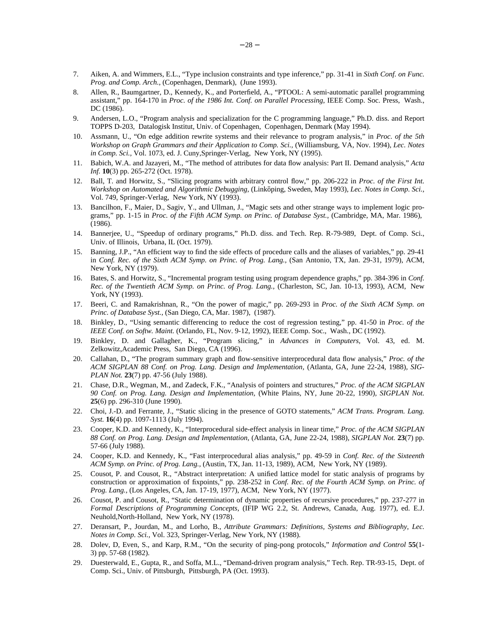- 7. Aiken, A. and Wimmers, E.L., "Type inclusion constraints and type inference," pp. 31-41 in *Sixth Conf. on Func. Prog. and Comp. Arch.,* (Copenhagen, Denmark), (June 1993).
- 8. Allen, R., Baumgartner, D., Kennedy, K., and Porterfield, A., "PTOOL: A semi-automatic parallel programming assistant," pp. 164-170 in *Proc. of the 1986 Int. Conf. on Parallel Processing*, IEEE Comp. Soc. Press, Wash., DC (1986).
- 9. Andersen, L.O., "Program analysis and specialization for the C programming language," Ph.D. diss. and Report TOPPS D-203, Datalogisk Institut, Univ. of Copenhagen, Copenhagen, Denmark (May 1994).
- 10. Assmann, U., "On edge addition rewrite systems and their relevance to program analysis," in *Proc. of the 5th Workshop on Graph Grammars and their Application to Comp. Sci.,* (Williamsburg, VA, Nov. 1994)*, Lec. Notes in Comp. Sci.,* Vol. 1073, ed. J. Cuny,Springer-Verlag, New York, NY (1995).
- 11. Babich, W.A. and Jazayeri, M., "The method of attributes for data flow analysis: Part II. Demand analysis," *Acta Inf.* **10**(3) pp. 265-272 (Oct. 1978).
- 12. Ball, T. and Horwitz, S., "Slicing programs with arbitrary control flow," pp. 206-222 in *Proc. of the First Int. Workshop on Automated and Algorithmic Debugging*, *(Linköping, Sweden, May 1993), Lec. Notes in Comp. Sci.,* Vol. 749, Springer-Verlag, New York, NY (1993).
- 13. Bancilhon, F., Maier, D., Sagiv, Y., and Ullman, J., "Magic sets and other strange ways to implement logic programs," pp. 1-15 in *Proc. of the Fifth ACM Symp. on Princ. of Database Syst.,* (Cambridge, MA, Mar. 1986), (1986).
- 14. Bannerjee, U., "Speedup of ordinary programs," Ph.D. diss. and Tech. Rep. R-79-989, Dept. of Comp. Sci., Univ. of Illinois, Urbana, IL (Oct. 1979).
- 15. Banning, J.P., "An efficient way to find the side effects of procedure calls and the aliases of variables," pp. 29-41 in *Conf. Rec. of the Sixth ACM Symp. on Princ. of Prog. Lang.,* (San Antonio, TX, Jan. 29-31, 1979), ACM, New York, NY (1979).
- 16. Bates, S. and Horwitz, S., "Incremental program testing using program dependence graphs," pp. 384-396 in *Conf. Rec. of the Twentieth ACM Symp. on Princ. of Prog. Lang.,* (Charleston, SC, Jan. 10-13, 1993), ACM, New York, NY (1993).
- 17. Beeri, C. and Ramakrishnan, R., "On the power of magic," pp. 269-293 in *Proc. of the Sixth ACM Symp. on Princ. of Database Syst.,* (San Diego, CA, Mar. 1987), (1987).
- 18. Binkley, D., "Using semantic differencing to reduce the cost of regression testing," pp. 41-50 in *Proc. of the IEEE Conf. on Softw. Maint.* (Orlando, FL, Nov. 9-12, 1992), IEEE Comp. Soc., Wash., DC (1992).
- 19. Binkley, D. and Gallagher, K., "Program slicing," in *Advances in Computers,* Vol. 43, ed. M. Zelkowitz,Academic Press, San Diego, CA (1996).
- 20. Callahan, D., "The program summary graph and flow-sensitive interprocedural data flow analysis," *Proc. of the ACM SIGPLAN 88 Conf. on Prog. Lang. Design and Implementation,* (Atlanta, GA, June 22-24, 1988)*, SIG-PLAN Not.* **23**(7) pp. 47-56 (July 1988).
- 21. Chase, D.R., Wegman, M., and Zadeck, F.K., "Analysis of pointers and structures," *Proc. of the ACM SIGPLAN 90 Conf. on Prog. Lang. Design and Implementation,* (White Plains, NY, June 20-22, 1990)*, SIGPLAN Not.* **25**(6) pp. 296-310 (June 1990).
- 22. Choi, J.-D. and Ferrante, J., "Static slicing in the presence of GOTO statements," *ACM Trans. Program. Lang. Syst.* **16**(4) pp. 1097-1113 (July 1994).
- 23. Cooper, K.D. and Kennedy, K., "Interprocedural side-effect analysis in linear time," *Proc. of the ACM SIGPLAN 88 Conf. on Prog. Lang. Design and Implementation,* (Atlanta, GA, June 22-24, 1988)*, SIGPLAN Not.* **23**(7) pp. 57-66 (July 1988).
- 24. Cooper, K.D. and Kennedy, K., "Fast interprocedural alias analysis," pp. 49-59 in *Conf. Rec. of the Sixteenth ACM Symp. on Princ. of Prog. Lang.,* (Austin, TX, Jan. 11-13, 1989), ACM, New York, NY (1989).
- 25. Cousot, P. and Cousot, R., "Abstract interpretation: A unified lattice model for static analysis of programs by construction or approximation of fixpoints," pp. 238-252 in *Conf. Rec. of the Fourth ACM Symp. on Princ. of Prog. Lang.,* (Los Angeles, CA, Jan. 17-19, 1977), ACM, New York, NY (1977).
- 26. Cousot, P. and Cousot, R., "Static determination of dynamic properties of recursive procedures," pp. 237-277 in *Formal Descriptions of Programming Concepts,* (IFIP WG 2.2, St. Andrews, Canada, Aug. 1977), ed. E.J. Neuhold,North-Holland, New York, NY (1978).
- 27. Deransart, P., Jourdan, M., and Lorho, B., *Attribute Grammars: Definitions, Systems and Bibliography, Lec. Notes in Comp. Sci.,* Vol. 323*,* Springer-Verlag, New York, NY (1988).
- 28. Dolev, D, Even, S., and Karp, R.M., "On the security of ping-pong protocols," *Information and Control* **55**(1- 3) pp. 57-68 (1982).
- 29. Duesterwald, E., Gupta, R., and Soffa, M.L., "Demand-driven program analysis," Tech. Rep. TR-93-15, Dept. of Comp. Sci., Univ. of Pittsburgh, Pittsburgh, PA (Oct. 1993).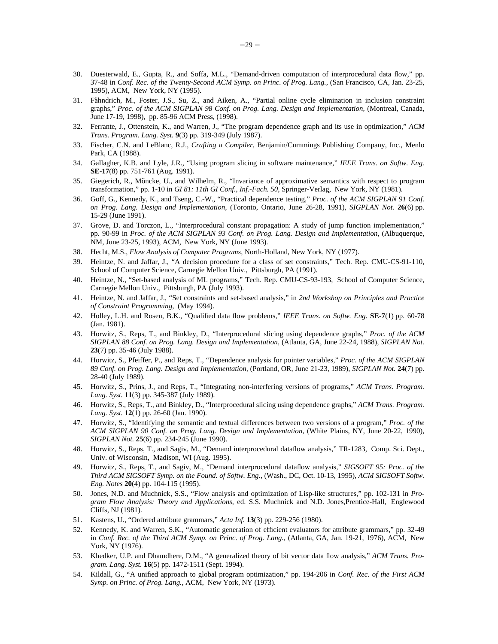- 30. Duesterwald, E., Gupta, R., and Soffa, M.L., "Demand-driven computation of interprocedural data flow," pp. 37-48 in *Conf. Rec. of the Twenty-Second ACM Symp. on Princ. of Prog. Lang.,* (San Francisco, CA, Jan. 23-25, 1995), ACM, New York, NY (1995).
- 31. Fähndrich, M., Foster, J.S., Su, Z., and Aiken, A., "Partial online cycle elimination in inclusion constraint graphs," *Proc. of the ACM SIGPLAN 98 Conf. on Prog. Lang. Design and Implementation,* (Montreal, Canada, June 17-19, 1998), pp. 85-96 ACM Press, (1998).
- 32. Ferrante, J., Ottenstein, K., and Warren, J., "The program dependence graph and its use in optimization," *ACM Trans. Program. Lang. Syst.* **9**(3) pp. 319-349 (July 1987).
- 33. Fischer, C.N. and LeBlanc, R.J., *Crafting a Compiler,* Benjamin/Cummings Publishing Company, Inc., Menlo Park, CA (1988).
- 34. Gallagher, K.B. and Lyle, J.R., "Using program slicing in software maintenance," *IEEE Trans. on Softw. Eng.* **SE-17**(8) pp. 751-761 (Aug. 1991).
- 35. Giegerich, R., Möncke, U., and Wilhelm, R., "Invariance of approximative semantics with respect to program transformation," pp. 1-10 in *GI 81: 11th GI Conf., Inf.-Fach. 50*, Springer-Verlag, New York, NY (1981).
- 36. Goff, G., Kennedy, K., and Tseng, C.-W., "Practical dependence testing," *Proc. of the ACM SIGPLAN 91 Conf. on Prog. Lang. Design and Implementation,* (Toronto, Ontario, June 26-28, 1991)*, SIGPLAN Not.* **26**(6) pp. 15-29 (June 1991).
- 37. Grove, D. and Torczon, L., "Interprocedural constant propagation: A study of jump function implementation," pp. 90-99 in *Proc. of the ACM SIGPLAN 93 Conf. on Prog. Lang. Design and Implementation,* (Albuquerque, NM, June 23-25, 1993), ACM, New York, NY (June 1993).
- 38. Hecht, M.S., *Flow Analysis of Computer Programs,* North-Holland, New York, NY (1977).
- 39. Heintze, N. and Jaffar, J., "A decision procedure for a class of set constraints," Tech. Rep. CMU-CS-91-110, School of Computer Science, Carnegie Mellon Univ., Pittsburgh, PA (1991).
- 40. Heintze, N., "Set-based analysis of ML programs," Tech. Rep. CMU-CS-93-193, School of Computer Science, Carnegie Mellon Univ., Pittsburgh, PA (July 1993).
- 41. Heintze, N. and Jaffar, J., "Set constraints and set-based analysis," in *2nd Workshop on Principles and Practice of Constraint Programming*, (May 1994).
- 42. Holley, L.H. and Rosen, B.K., "Qualified data flow problems," *IEEE Trans. on Softw. Eng.* **SE-7**(1) pp. 60-78 (Jan. 1981).
- 43. Horwitz, S., Reps, T., and Binkley, D., "Interprocedural slicing using dependence graphs," *Proc. of the ACM SIGPLAN 88 Conf. on Prog. Lang. Design and Implementation,* (Atlanta, GA, June 22-24, 1988)*, SIGPLAN Not.* **23**(7) pp. 35-46 (July 1988).
- 44. Horwitz, S., Pfeiffer, P., and Reps, T., "Dependence analysis for pointer variables," *Proc. of the ACM SIGPLAN 89 Conf. on Prog. Lang. Design and Implementation,* (Portland, OR, June 21-23, 1989)*, SIGPLAN Not.* **24**(7) pp. 28-40 (July 1989).
- 45. Horwitz, S., Prins, J., and Reps, T., "Integrating non-interfering versions of programs," *ACM Trans. Program. Lang. Syst.* **11**(3) pp. 345-387 (July 1989).
- 46. Horwitz, S., Reps, T., and Binkley, D., "Interprocedural slicing using dependence graphs," *ACM Trans. Program. Lang. Syst.* **12**(1) pp. 26-60 (Jan. 1990).
- 47. Horwitz, S., "Identifying the semantic and textual differences between two versions of a program," *Proc. of the ACM SIGPLAN 90 Conf. on Prog. Lang. Design and Implementation,* (White Plains, NY, June 20-22, 1990)*, SIGPLAN Not.* **25**(6) pp. 234-245 (June 1990).
- 48. Horwitz, S., Reps, T., and Sagiv, M., "Demand interprocedural dataflow analysis," TR-1283, Comp. Sci. Dept., Univ. of Wisconsin, Madison, WI (Aug. 1995).
- 49. Horwitz, S., Reps, T., and Sagiv, M., "Demand interprocedural dataflow analysis," *SIGSOFT 95: Proc. of the Third ACM SIGSOFT Symp. on the Found. of Softw. Eng.,* (Wash., DC, Oct. 10-13, 1995)*, ACM SIGSOFT Softw. Eng. Notes* **20**(4) pp. 104-115 (1995).
- 50. Jones, N.D. and Muchnick, S.S., "Flow analysis and optimization of Lisp-like structures," pp. 102-131 in *Program Flow Analysis: Theory and Applications*, ed. S.S. Muchnick and N.D. Jones,Prentice-Hall, Englewood Cliffs, NJ (1981).
- 51. Kastens, U., "Ordered attribute grammars," *Acta Inf.* **13**(3) pp. 229-256 (1980).
- 52. Kennedy, K. and Warren, S.K., "Automatic generation of efficient evaluators for attribute grammars," pp. 32-49 in *Conf. Rec. of the Third ACM Symp. on Princ. of Prog. Lang.,* (Atlanta, GA, Jan. 19-21, 1976), ACM, New York, NY (1976).
- 53. Khedker, U.P. and Dhamdhere, D.M., "A generalized theory of bit vector data flow analysis," *ACM Trans. Program. Lang. Syst.* **16**(5) pp. 1472-1511 (Sept. 1994).
- 54. Kildall, G., "A unified approach to global program optimization," pp. 194-206 in *Conf. Rec. of the First ACM Symp. on Princ. of Prog. Lang.*, ACM, New York, NY (1973).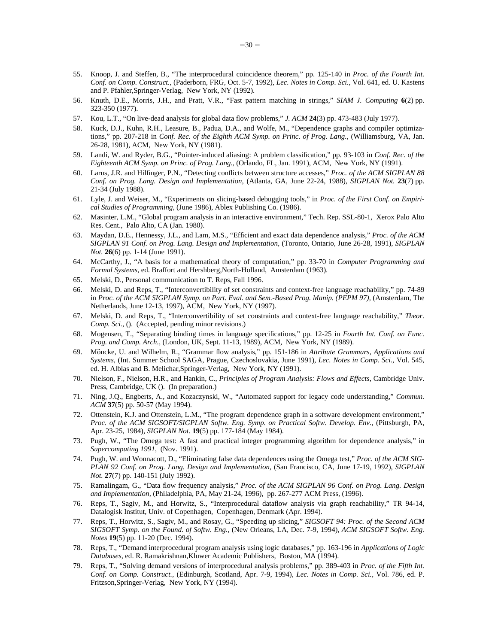- 55. Knoop, J. and Steffen, B., "The interprocedural coincidence theorem," pp. 125-140 in *Proc. of the Fourth Int. Conf. on Comp. Construct.*, (Paderborn, FRG, Oct. 5-7, 1992)*, Lec. Notes in Comp. Sci.,* Vol. 641, ed. U. Kastens and P. Pfahler,Springer-Verlag, New York, NY (1992).
- 56. Knuth, D.E., Morris, J.H., and Pratt, V.R., "Fast pattern matching in strings," *SIAM J. Computing* **6**(2) pp. 323-350 (1977).
- 57. Kou, L.T., "On live-dead analysis for global data flow problems," *J. ACM* **24**(3) pp. 473-483 (July 1977).
- 58. Kuck, D.J., Kuhn, R.H., Leasure, B., Padua, D.A., and Wolfe, M., "Dependence graphs and compiler optimizations," pp. 207-218 in *Conf. Rec. of the Eighth ACM Symp. on Princ. of Prog. Lang.,* (Williamsburg, VA, Jan. 26-28, 1981), ACM, New York, NY (1981).
- 59. Landi, W. and Ryder, B.G., "Pointer-induced aliasing: A problem classification," pp. 93-103 in *Conf. Rec. of the Eighteenth ACM Symp. on Princ. of Prog. Lang.,* (Orlando, FL, Jan. 1991), ACM, New York, NY (1991).
- 60. Larus, J.R. and Hilfinger, P.N., "Detecting conflicts between structure accesses," *Proc. of the ACM SIGPLAN 88 Conf. on Prog. Lang. Design and Implementation,* (Atlanta, GA, June 22-24, 1988)*, SIGPLAN Not.* **23**(7) pp. 21-34 (July 1988).
- 61. Lyle, J. and Weiser, M., "Experiments on slicing-based debugging tools," in *Proc. of the First Conf. on Empirical Studies of Programming,* (June 1986), Ablex Publishing Co. (1986).
- 62. Masinter, L.M., "Global program analysis in an interactive environment," Tech. Rep. SSL-80-1, Xerox Palo Alto Res. Cent., Palo Alto, CA (Jan. 1980).
- 63. Maydan, D.E., Hennessy, J.L., and Lam, M.S., "Efficient and exact data dependence analysis," *Proc. of the ACM SIGPLAN 91 Conf. on Prog. Lang. Design and Implementation,* (Toronto, Ontario, June 26-28, 1991)*, SIGPLAN Not.* **26**(6) pp. 1-14 (June 1991).
- 64. McCarthy, J., "A basis for a mathematical theory of computation," pp. 33-70 in *Computer Programming and Formal Systems*, ed. Braffort and Hershberg,North-Holland, Amsterdam (1963).
- 65. Melski, D., Personal communication to T. Reps, Fall 1996.
- 66. Melski, D. and Reps, T., "Interconvertibility of set constraints and context-free language reachability," pp. 74-89 in *Proc. of the ACM SIGPLAN Symp. on Part. Eval. and Sem.-Based Prog. Manip. (PEPM 97),* (Amsterdam, The Netherlands, June 12-13, 1997), ACM, New York, NY (1997).
- 67. Melski, D. and Reps, T., "Interconvertibility of set constraints and context-free language reachability," *Theor. Comp. Sci.*, (). (Accepted, pending minor revisions.)
- 68. Mogensen, T., "Separating binding times in language specifications," pp. 12-25 in *Fourth Int. Conf. on Func. Prog. and Comp. Arch.,* (London, UK, Sept. 11-13, 1989), ACM, New York, NY (1989).
- 69. Möncke, U. and Wilhelm, R., "Grammar flow analysis," pp. 151-186 in *Attribute Grammars, Applications and Systems,* (Int. Summer School SAGA, Prague, Czechoslovakia, June 1991)*, Lec. Notes in Comp. Sci.,* Vol. 545, ed. H. Alblas and B. Melichar,Springer-Verlag, New York, NY (1991).
- 70. Nielson, F., Nielson, H.R., and Hankin, C., *Principles of Program Analysis: Flows and Effects,* Cambridge Univ. Press, Cambridge, UK (). (In preparation.)
- 71. Ning, J.Q., Engberts, A., and Kozaczynski, W., "Automated support for legacy code understanding," *Commun. ACM* **37**(5) pp. 50-57 (May 1994).
- 72. Ottenstein, K.J. and Ottenstein, L.M., "The program dependence graph in a software development environment," *Proc. of the ACM SIGSOFT/SIGPLAN Softw. Eng. Symp. on Practical Softw. Develop. Env.,* (Pittsburgh, PA, Apr. 23-25, 1984)*, SIGPLAN Not.* **19**(5) pp. 177-184 (May 1984).
- 73. Pugh, W., "The Omega test: A fast and practical integer programming algorithm for dependence analysis," in *Supercomputing 1991*, (Nov. 1991).
- 74. Pugh, W. and Wonnacott, D., "Eliminating false data dependences using the Omega test," *Proc. of the ACM SIG-PLAN 92 Conf. on Prog. Lang. Design and Implementation,* (San Francisco, CA, June 17-19, 1992)*, SIGPLAN Not.* **27**(7) pp. 140-151 (July 1992).
- 75. Ramalingam, G., "Data flow frequency analysis," *Proc. of the ACM SIGPLAN 96 Conf. on Prog. Lang. Design and Implementation,* (Philadelphia, PA, May 21-24, 1996), pp. 267-277 ACM Press, (1996).
- 76. Reps, T., Sagiv, M., and Horwitz, S., "Interprocedural dataflow analysis via graph reachability," TR 94-14, Datalogisk Institut, Univ. of Copenhagen, Copenhagen, Denmark (Apr. 1994).
- 77. Reps, T., Horwitz, S., Sagiv, M., and Rosay, G., "Speeding up slicing," *SIGSOFT 94: Proc. of the Second ACM SIGSOFT Symp. on the Found. of Softw. Eng.,* (New Orleans, LA, Dec. 7-9, 1994)*, ACM SIGSOFT Softw. Eng. Notes* **19**(5) pp. 11-20 (Dec. 1994).
- 78. Reps, T., "Demand interprocedural program analysis using logic databases," pp. 163-196 in *Applications of Logic Databases*, ed. R. Ramakrishnan,Kluwer Academic Publishers, Boston, MA (1994).
- 79. Reps, T., "Solving demand versions of interprocedural analysis problems," pp. 389-403 in *Proc. of the Fifth Int. Conf. on Comp. Construct.*, (Edinburgh, Scotland, Apr. 7-9, 1994)*, Lec. Notes in Comp. Sci.,* Vol. 786, ed. P. Fritzson,Springer-Verlag, New York, NY (1994).